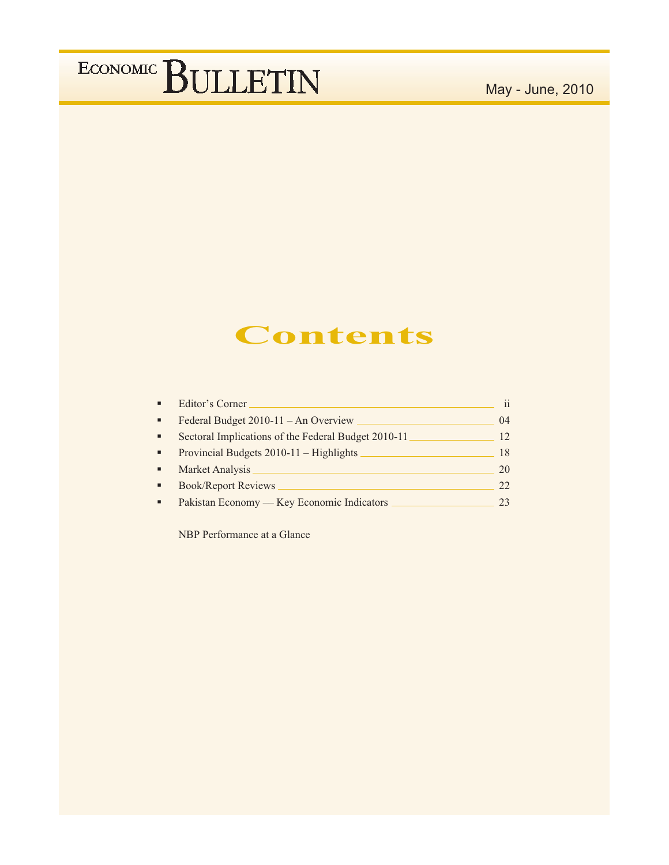## May - June, 2010

## **Contents**

| Editor's Corner                                     | 11 |
|-----------------------------------------------------|----|
| Federal Budget 2010-11 - An Overview                | 04 |
| Sectoral Implications of the Federal Budget 2010-11 | 12 |
| Provincial Budgets 2010-11 – Highlights             | 18 |
| Market Analysis                                     | 20 |
| <b>Book/Report Reviews</b>                          | 22 |
| Pakistan Economy - Key Economic Indicators          | 23 |

NBP Performance at a Glance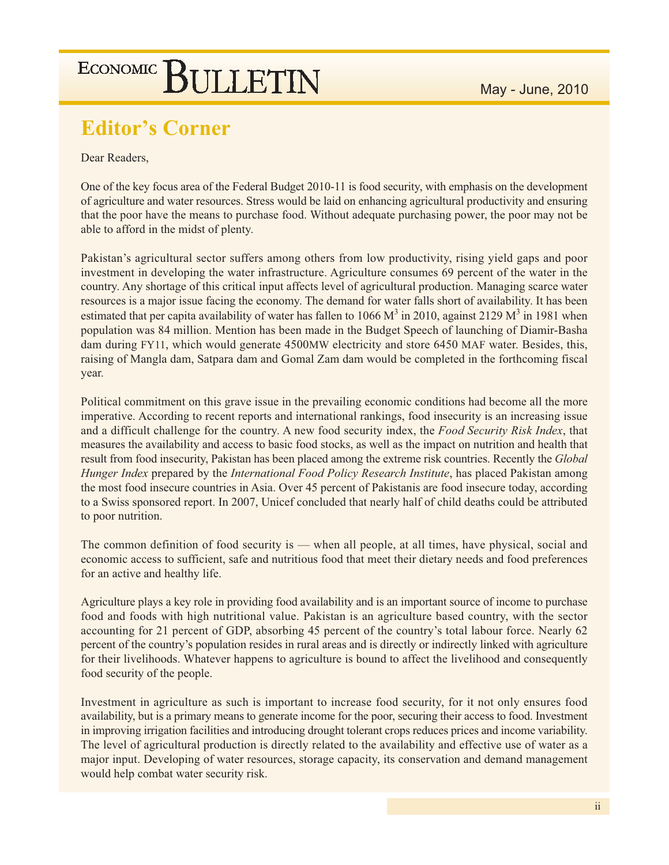## **Editor's Corner**

### Dear Readers,

One of the key focus area of the Federal Budget 2010-11 is food security, with emphasis on the development of agriculture and water resources. Stress would be laid on enhancing agricultural productivity and ensuring that the poor have the means to purchase food. Without adequate purchasing power, the poor may not be able to afford in the midst of plenty.

Pakistan's agricultural sector suffers among others from low productivity, rising yield gaps and poor investment in developing the water infrastructure. Agriculture consumes 69 percent of the water in the country. Any shortage of this critical input affects level of agricultural production. Managing scarce water resources is a major issue facing the economy. The demand for water falls short of availability. It has been estimated that per capita availability of water has fallen to 1066  $M^3$  in 2010, against 2129  $M^3$  in 1981 when population was 84 million. Mention has been made in the Budget Speech of launching of Diamir-Basha dam during FY11, which would generate 4500MW electricity and store 6450 MAF water. Besides, this, raising of Mangla dam, Satpara dam and Gomal Zam dam would be completed in the forthcoming fiscal year.

Political commitment on this grave issue in the prevailing economic conditions had become all the more imperative. According to recent reports and international rankings, food insecurity is an increasing issue and a difficult challenge for the country. A new food security index, the Food Security Risk Index, that measures the availability and access to basic food stocks, as well as the impact on nutrition and health that result from food insecurity, Pakistan has been placed among the extreme risk countries. Recently the *Global* Hunger Index prepared by the International Food Policy Research Institute, has placed Pakistan among the most food insecure countries in Asia. Over 45 percent of Pakistanis are food insecure today, according to a Swiss sponsored report. In 2007, Unicef concluded that nearly half of child deaths could be attributed to poor nutrition.

The common definition of food security is — when all people, at all times, have physical, social and economic access to sufficient, safe and nutritious food that meet their dietary needs and food preferences for an active and healthy life.

Agriculture plays a key role in providing food availability and is an important source of income to purchase food and foods with high nutritional value. Pakistan is an agriculture based country, with the sector accounting for 21 percent of GDP, absorbing 45 percent of the country's total labour force. Nearly 62 percent of the country's population resides in rural areas and is directly or indirectly linked with agriculture for their livelihoods. Whatever happens to agriculture is bound to affect the livelihood and consequently food security of the people.

Investment in agriculture as such is important to increase food security, for it not only ensures food availability, but is a primary means to generate income for the poor, securing their access to food. Investment in improving irrigation facilities and introducing drought tolerant crops reduces prices and income variability. The level of agricultural production is directly related to the availability and effective use of water as a major input. Developing of water resources, storage capacity, its conservation and demand management would help combat water security risk.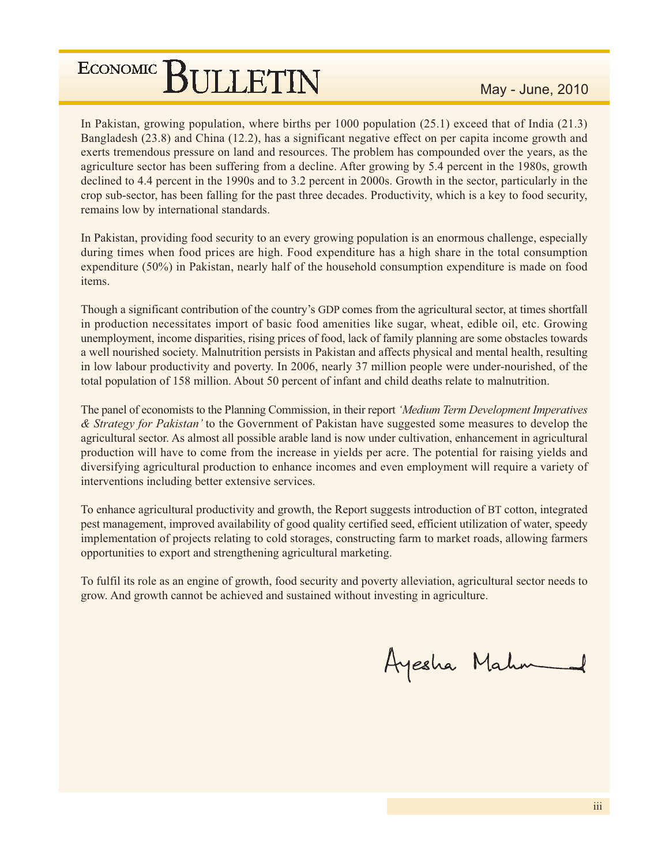In Pakistan, growing population, where births per  $1000$  population (25.1) exceed that of India (21.3) Bangladesh (23.8) and China (12.2), has a significant negative effect on per capita income growth and exerts tremendous pressure on land and resources. The problem has compounded over the years, as the agriculture sector has been suffering from a decline. After growing by 5.4 percent in the 1980s, growth declined to 4.4 percent in the 1990s and to 3.2 percent in 2000s. Growth in the sector, particularly in the crop sub-sector, has been falling for the past three decades. Productivity, which is a key to food security, remains low by international standards.

In Pakistan, providing food security to an every growing population is an enormous challenge, especially during times when food prices are high. Food expenditure has a high share in the total consumption expenditure  $(50\%)$  in Pakistan, nearly half of the household consumption expenditure is made on food items.

Though a significant contribution of the country's GDP comes from the agricultural sector, at times shortfall in production necessitates import of basic food amenities like sugar, wheat, edible oil, etc. Growing unemployment, income disparities, rising prices of food, lack of family planning are some obstacles towards a well nourished society. Malnutrition persists in Pakistan and affects physical and mental health, resulting in low labour productivity and poverty. In 2006, nearly 37 million people were under-nourished, of the total population of 158 million. About 50 percent of infant and child deaths relate to malnutrition.

The panel of economists to the Planning Commission, in their report 'Medium Term Development Imperatives' & Strategy for Pakistan' to the Government of Pakistan have suggested some measures to develop the agricultural sector. As almost all possible arable land is now under cultivation, enhancement in agricultural production will have to come from the increase in yields per acre. The potential for raising yields and diversifying agricultural production to enhance incomes and even employment will require a variety of interventions including better extensive services.

To enhance agricultural productivity and growth, the Report suggests introduction of BT cotton, integrated pest management, improved availability of good quality certified seed, efficient utilization of water, speedy implementation of projects relating to cold storages, constructing farm to market roads, allowing farmers opportunities to export and strengthening agricultural marketing.

To fulfil its role as an engine of growth, food security and poverty alleviation, agricultural sector needs to grow. And growth cannot be achieved and sustained without investing in agriculture.

Ayesha Mahm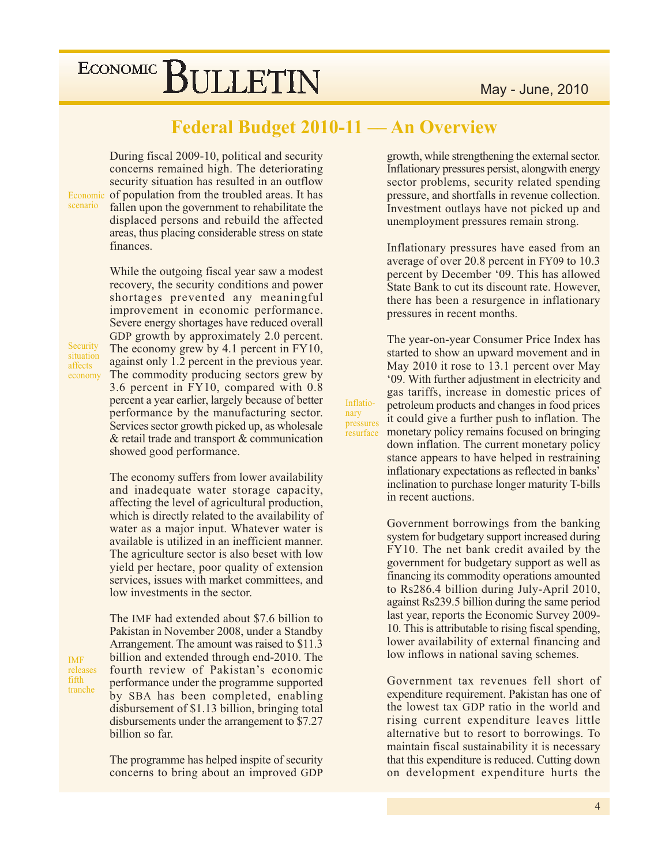## **Federal Budget 2010-11 - An Overview**

Inflatio-

pressures

.<br>resurface

nary

During fiscal 2009-10, political and security concerns remained high. The deteriorating security situation has resulted in an outflow Economic of population from the troubled areas. It has fallen upon the government to rehabilitate the displaced persons and rebuild the affected areas, thus placing considerable stress on state finances.

> While the outgoing fiscal year saw a modest recovery, the security conditions and power shortages prevented any meaningful improvement in economic performance. Severe energy shortages have reduced overall GDP growth by approximately 2.0 percent. The economy grew by 4.1 percent in  $FY10$ , against only 1.2 percent in the previous year. The commodity producing sectors grew by 3.6 percent in FY10, compared with 0.8 percent a year earlier, largely because of better performance by the manufacturing sector. Services sector growth picked up, as wholesale  $&$  retail trade and transport  $&$  communication showed good performance.

> The economy suffers from lower availability and inadequate water storage capacity, affecting the level of agricultural production, which is directly related to the availability of water as a major input. Whatever water is available is utilized in an inefficient manner. The agriculture sector is also beset with low yield per hectare, poor quality of extension services, issues with market committees, and low investments in the sector.

> The IMF had extended about \$7.6 billion to

Pakistan in November 2008, under a Standby

Arrangement. The amount was raised to \$11.3

billion and extended through end-2010. The

fourth review of Pakistan's economic

**IMF** releases fifth tranche

scenario

Security

situation

economy

affects

performance under the programme supported by SBA has been completed, enabling disbursement of \$1.13 billion, bringing total disbursements under the arrangement to \$7.27 billion so far.

The programme has helped inspite of security concerns to bring about an improved GDP growth, while strengthening the external sector. Inflationary pressures persist, alongwith energy sector problems, security related spending pressure, and shortfalls in revenue collection. Investment outlays have not picked up and unemployment pressures remain strong.

Inflationary pressures have eased from an average of over 20.8 percent in FY09 to 10.3 percent by December '09. This has allowed State Bank to cut its discount rate. However, there has been a resurgence in inflationary pressures in recent months.

The year-on-year Consumer Price Index has started to show an upward movement and in May 2010 it rose to 13.1 percent over May '09. With further adjustment in electricity and gas tariffs, increase in domestic prices of petroleum products and changes in food prices it could give a further push to inflation. The monetary policy remains focused on bringing down inflation. The current monetary policy stance appears to have helped in restraining inflationary expectations as reflected in banks' inclination to purchase longer maturity T-bills in recent auctions.

Government borrowings from the banking system for budgetary support increased during FY10. The net bank credit availed by the government for budgetary support as well as financing its commodity operations amounted to Rs286.4 billion during July-April 2010, against Rs239.5 billion during the same period last year, reports the Economic Survey 2009-10. This is attributable to rising fiscal spending, lower availability of external financing and low inflows in national saving schemes.

Government tax revenues fell short of expenditure requirement. Pakistan has one of the lowest tax GDP ratio in the world and rising current expenditure leaves little alternative but to resort to borrowings. To maintain fiscal sustainability it is necessary that this expenditure is reduced. Cutting down on development expenditure hurts the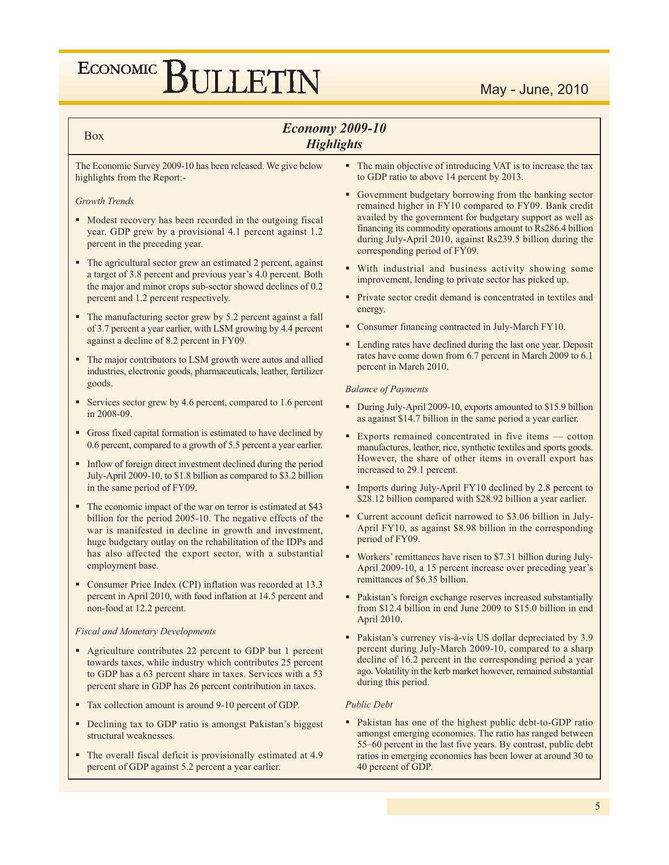## **Economy 2009-10 Highlights**

#### **Box**

#### The Economic Survey 2009-10 has been released. We give below highlights from the Report:-

#### **Growth Trends**

- Modest recovery has been recorded in the outgoing fiscal year. GDP grew by a provisional 4.1 percent against 1.2 percent in the preceding year.
- The agricultural sector grew an estimated 2 percent, against a target of 3.8 percent and previous year's 4.0 percent. Both the major and minor crops sub-sector showed declines of 0.2 percent and 1.2 percent respectively.
- The manufacturing sector grew by 5.2 percent against a fall of 3.7 percent a year earlier, with LSM growing by 4.4 percent against a decline of 8.2 percent in FY09.
- The major contributors to LSM growth were autos and allied industries, electronic goods, pharmaceuticals, leather, fertilizer goods.
- Services sector grew by 4.6 percent, compared to 1.6 percent in 2008-09.
- Gross fixed capital formation is estimated to have declined by 0.6 percent, compared to a growth of 5.5 percent a year earlier.
- Inflow of foreign direct investment declined during the period July-April 2009-10, to \$1.8 billion as compared to \$3.2 billion in the same period of FY09.
- The economic impact of the war on terror is estimated at \$43 billion for the period 2005-10. The negative effects of the war is manifested in decline in growth and investment, huge budgetary outlay on the rehabilitation of the IDPs and has also affected the export sector, with a substantial employment base.
- Consumer Price Index (CPI) inflation was recorded at 13.3 percent in April 2010, with food inflation at 14.5 percent and non-food at 12.2 percent.

#### **Fiscal and Monetary Developments**

- Agriculture contributes 22 percent to GDP but 1 percent towards taxes, while industry which contributes 25 percent to GDP has a 63 percent share in taxes. Services with a 53 percent share in GDP has 26 percent contribution in taxes.
- Tax collection amount is around 9-10 percent of GDP.
- Declining tax to GDP ratio is amongst Pakistan's biggest structural weaknesses.
- The overall fiscal deficit is provisionally estimated at 4.9 percent of GDP against 5.2 percent a year earlier.
- The main objective of introducing VAT is to increase the tax to GDP ratio to above 14 percent by 2013.
- Government budgetary borrowing from the banking sector remained higher in FY10 compared to FY09. Bank credit availed by the government for budgetary support as well as financing its commodity operations amount to Rs286.4 billion during July-April 2010, against Rs239.5 billion during the corresponding period of FY09.
- With industrial and business activity showing some improvement, lending to private sector has picked up.
- Private sector credit demand is concentrated in textiles and energy.
- Consumer financing contracted in July-March FY10.
- Lending rates have declined during the last one year. Deposit rates have come down from 6.7 percent in March 2009 to 6.1 percent in March 2010.

#### **Balance of Payments**

- During July-April 2009-10, exports amounted to \$15.9 billion as against \$14.7 billion in the same period a year earlier.
- Exports remained concentrated in five items cotton manufactures, leather, rice, synthetic textiles and sports goods. However, the share of other items in overall export has increased to 29.1 percent.
- Imports during July-April FY10 declined by 2.8 percent to \$28.12 billion compared with \$28.92 billion a year earlier.
- Current account deficit narrowed to \$3.06 billion in July-April FY10, as against \$8.98 billion in the corresponding period of FY09.
- Workers' remittances have risen to \$7.31 billion during July-April 2009-10, a 15 percent increase over preceding year's remittances of \$6.35 billion.
- Pakistan's foreign exchange reserves increased substantially from \$12.4 billion in end June 2009 to \$15.0 billion in end April 2010.
- Pakistan's currency vis-à-vis US dollar depreciated by 3.9 percent during July-March 2009-10, compared to a sharp decline of 16.2 percent in the corresponding period a year ago. Volatility in the kerb market however, remained substantial during this period.

#### **Public Debt**

• Pakistan has one of the highest public debt-to-GDP ratio amongst emerging economies. The ratio has ranged between 55-60 percent in the last five years. By contrast, public debt ratios in emerging economies has been lower at around 30 to 40 percent of GDP.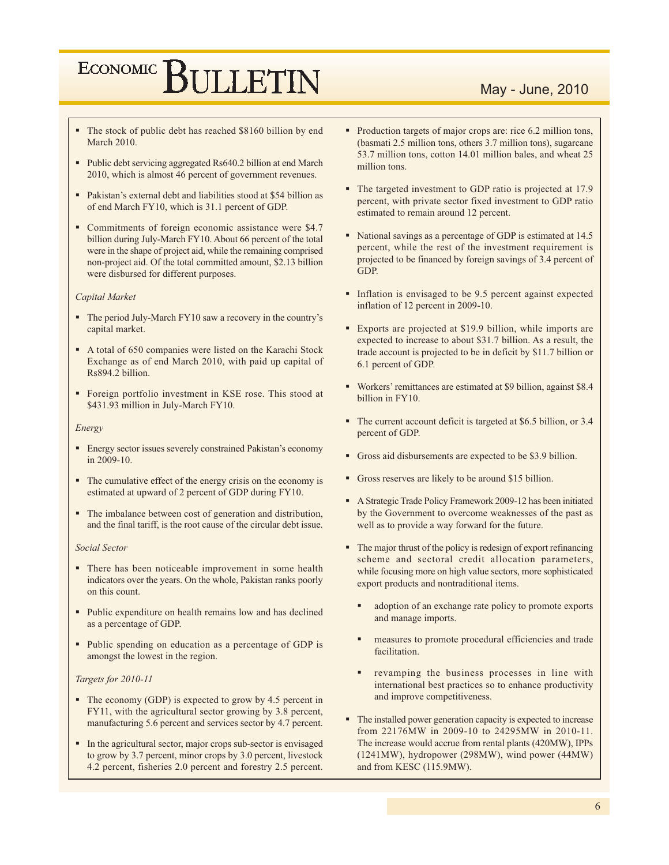## May - June, 2010

- The stock of public debt has reached \$8160 billion by end **March 2010.**
- Public debt servicing aggregated Rs640.2 billion at end March 2010, which is almost 46 percent of government revenues.
- Pakistan's external debt and liabilities stood at \$54 billion as of end March FY10, which is 31.1 percent of GDP.
- Commitments of foreign economic assistance were \$4.7 billion during July-March FY10. About 66 percent of the total were in the shape of project aid, while the remaining comprised non-project aid. Of the total committed amount, \$2.13 billion were disbursed for different purposes.

#### **Capital Market**

- The period July-March FY10 saw a recovery in the country's capital market.
- A total of 650 companies were listed on the Karachi Stock Exchange as of end March 2010, with paid up capital of Rs894.2 billion.
- Foreign portfolio investment in KSE rose. This stood at \$431.93 million in July-March FY10.

#### Energy

- Energy sector issues severely constrained Pakistan's economy in 2009-10.
- The cumulative effect of the energy crisis on the economy is estimated at upward of 2 percent of GDP during FY10.
- The imbalance between cost of generation and distribution, and the final tariff, is the root cause of the circular debt issue.

#### Social Sector

- There has been noticeable improvement in some health indicators over the years. On the whole, Pakistan ranks poorly on this count.
- Public expenditure on health remains low and has declined as a percentage of GDP.
- Public spending on education as a percentage of GDP is amongst the lowest in the region.

#### Targets for 2010-11

- The economy (GDP) is expected to grow by 4.5 percent in FY11, with the agricultural sector growing by 3.8 percent, manufacturing 5.6 percent and services sector by 4.7 percent.
- In the agricultural sector, major crops sub-sector is envisaged to grow by 3.7 percent, minor crops by 3.0 percent, livestock 4.2 percent, fisheries 2.0 percent and forestry 2.5 percent.
- Production targets of major crops are: rice 6.2 million tons, (basmati 2.5 million tons, others 3.7 million tons), sugarcane 53.7 million tons, cotton 14.01 million bales, and wheat 25 million tons.
- The targeted investment to GDP ratio is projected at 17.9 percent, with private sector fixed investment to GDP ratio estimated to remain around 12 percent.
- National savings as a percentage of GDP is estimated at 14.5 percent, while the rest of the investment requirement is projected to be financed by foreign savings of 3.4 percent of **GDP**
- Inflation is envisaged to be 9.5 percent against expected inflation of 12 percent in 2009-10.
- Exports are projected at \$19.9 billion, while imports are expected to increase to about \$31.7 billion. As a result, the trade account is projected to be in deficit by \$11.7 billion or 6.1 percent of GDP.
- Workers' remittances are estimated at \$9 billion, against \$8.4 billion in FY10.
- The current account deficit is targeted at \$6.5 billion, or 3.4 percent of GDP.
- Gross aid disbursements are expected to be \$3.9 billion.
- Gross reserves are likely to be around \$15 billion.
- A Strategic Trade Policy Framework 2009-12 has been initiated by the Government to overcome weaknesses of the past as well as to provide a way forward for the future.
- The major thrust of the policy is redesign of export refinancing scheme and sectoral credit allocation parameters, while focusing more on high value sectors, more sophisticated export products and nontraditional items.
	- adoption of an exchange rate policy to promote exports and manage imports.
	- measures to promote procedural efficiencies and trade facilitation.
	- revamping the business processes in line with international best practices so to enhance productivity and improve competitiveness.
- The installed power generation capacity is expected to increase from 22176MW in 2009-10 to 24295MW in 2010-11. The increase would accrue from rental plants (420MW), IPPs (1241MW), hydropower (298MW), wind power (44MW) and from KESC (115.9MW).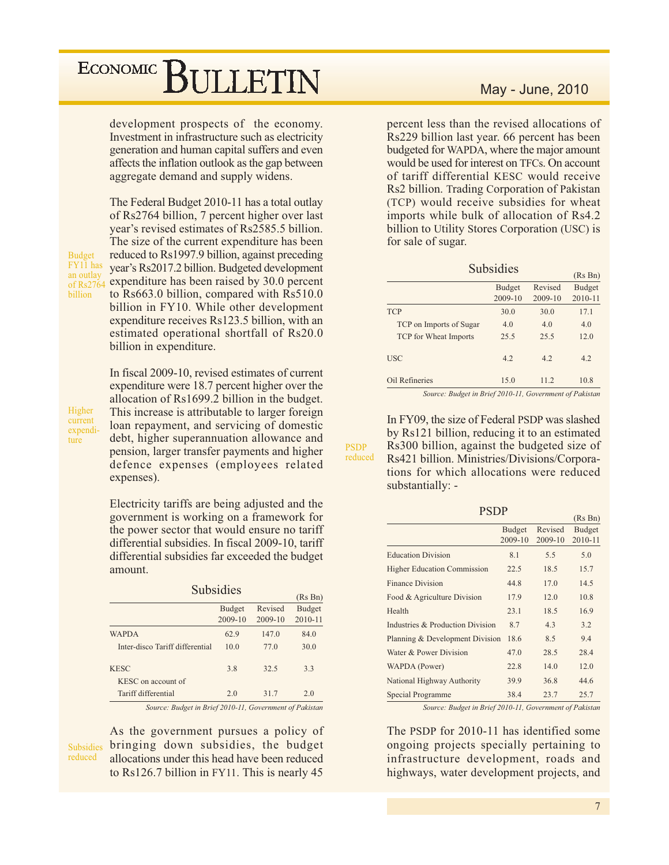## ECONOMIC<sup>]</sup> BULLETIN

development prospects of the economy. Investment in infrastructure such as electricity generation and human capital suffers and even affects the inflation outlook as the gap between aggregate demand and supply widens.

The Federal Budget 2010-11 has a total outlay of Rs2764 billion, 7 percent higher over last year's revised estimates of Rs2585.5 billion. The size of the current expenditure has been reduced to Rs1997.9 billion, against preceding year's Rs2017.2 billion. Budgeted development of Rs2764 expenditure has been raised by 30.0 percent to Rs663.0 billion, compared with Rs510.0 billion in FY10. While other development expenditure receives Rs123.5 billion, with an estimated operational shortfall of Rs20.0 billion in expenditure.

Higher current expenditure

**Budget** FY11 has

an outlay

hillion

In fiscal 2009-10, revised estimates of current expenditure were 18.7 percent higher over the allocation of Rs1699.2 billion in the budget. This increase is attributable to larger foreign loan repayment, and servicing of domestic debt, higher superannuation allowance and pension, larger transfer payments and higher defence expenses (employees related expenses).

Electricity tariffs are being adjusted and the government is working on a framework for the power sector that would ensure no tariff differential subsidies. In fiscal 2009-10, tariff differential subsidies far exceeded the budget amount.

| <b>Subsidies</b>                  |                          |                    |                          |  |  |  |  |  |  |
|-----------------------------------|--------------------------|--------------------|--------------------------|--|--|--|--|--|--|
|                                   | (Rs Bn)                  |                    |                          |  |  |  |  |  |  |
|                                   | <b>Budget</b><br>2009-10 | Revised<br>2009-10 | <b>Budget</b><br>2010-11 |  |  |  |  |  |  |
| <b>WAPDA</b>                      | 62.9                     | 147.0              | 84.0                     |  |  |  |  |  |  |
| Inter-disco Tariff differential   | 10.0                     | 77.0               | 30.0                     |  |  |  |  |  |  |
| <b>KESC</b><br>KESC on account of | 3.8                      | 32.5               | 3.3                      |  |  |  |  |  |  |
| Tariff differential               | 2.0                      | 31.7               | 2.0                      |  |  |  |  |  |  |

Source: Budget in Brief 2010-11, Government of Pakistan

reduced

### May - June, 2010

percent less than the revised allocations of Rs229 billion last year. 66 percent has been budgeted for WAPDA, where the major amount would be used for interest on TFCs. On account of tariff differential KESC would receive Rs2 billion. Trading Corporation of Pakistan (TCP) would receive subsidies for wheat imports while bulk of allocation of Rs4.2 billion to Utility Stores Corporation (USC) is for sale of sugar.

| <b>Subsidies</b>             |                          |                    |                          |  |  |  |  |  |  |
|------------------------------|--------------------------|--------------------|--------------------------|--|--|--|--|--|--|
|                              | (Rs Bn)                  |                    |                          |  |  |  |  |  |  |
|                              | <b>Budget</b><br>2009-10 | Revised<br>2009-10 | <b>Budget</b><br>2010-11 |  |  |  |  |  |  |
| <b>TCP</b>                   | 30.0                     | 30.0               | 17.1                     |  |  |  |  |  |  |
| TCP on Imports of Sugar      | 4.0                      | 4.0                | 4.0                      |  |  |  |  |  |  |
| <b>TCP</b> for Wheat Imports | 25.5                     | 25.5               | 12.0                     |  |  |  |  |  |  |
| <b>USC</b>                   | 4.2                      | 42                 | 4.2                      |  |  |  |  |  |  |
| Oil Refineries               | 15.0                     | 11.2               | 10.8                     |  |  |  |  |  |  |

Source: Budget in Brief 2010-11, Government of Pakistan

In FY09, the size of Federal PSDP was slashed by Rs121 billion, reducing it to an estimated Rs300 billion, against the budgeted size of Rs421 billion. Ministries/Divisions/Corporations for which allocations were reduced substantially: -

**PSDP** 

reduced

| PSDP                               |               |         |               |  |  |  |  |  |  |  |
|------------------------------------|---------------|---------|---------------|--|--|--|--|--|--|--|
|                                    |               |         | (Rs Bn)       |  |  |  |  |  |  |  |
|                                    | <b>Budget</b> | Revised | <b>Budget</b> |  |  |  |  |  |  |  |
|                                    | 2009-10       | 2009-10 | 2010-11       |  |  |  |  |  |  |  |
| <b>Education Division</b>          | 8.1           | 5.5     | 5.0           |  |  |  |  |  |  |  |
| <b>Higher Education Commission</b> | 22.5          | 18.5    | 15.7          |  |  |  |  |  |  |  |
| <b>Finance Division</b>            | 44.8          | 17.0    | 14.5          |  |  |  |  |  |  |  |
| Food & Agriculture Division        | 17.9          | 12.0    | 10.8          |  |  |  |  |  |  |  |
| Health                             | 23.1          | 18.5    | 16.9          |  |  |  |  |  |  |  |
| Industries & Production Division   | 8.7           | 4.3     | 3.2           |  |  |  |  |  |  |  |
| Planning & Development Division    | 18.6          | 8.5     | 9.4           |  |  |  |  |  |  |  |
| Water & Power Division             | 47.0          | 28.5    | 28.4          |  |  |  |  |  |  |  |
| WAPDA (Power)                      | 22.8          | 14.0    | 12.0          |  |  |  |  |  |  |  |
| National Highway Authority         | 39.9          | 36.8    | 44.6          |  |  |  |  |  |  |  |
| Special Programme                  | 38.4          | 23.7    | 25.7          |  |  |  |  |  |  |  |
|                                    |               |         |               |  |  |  |  |  |  |  |

Source: Budget in Brief 2010-11, Government of Pakistan

The PSDP for 2010-11 has identified some ongoing projects specially pertaining to infrastructure development, roads and highways, water development projects, and

As the government pursues a policy of Subsidies bringing down subsidies, the budget allocations under this head have been reduced to Rs126.7 billion in FY11. This is nearly 45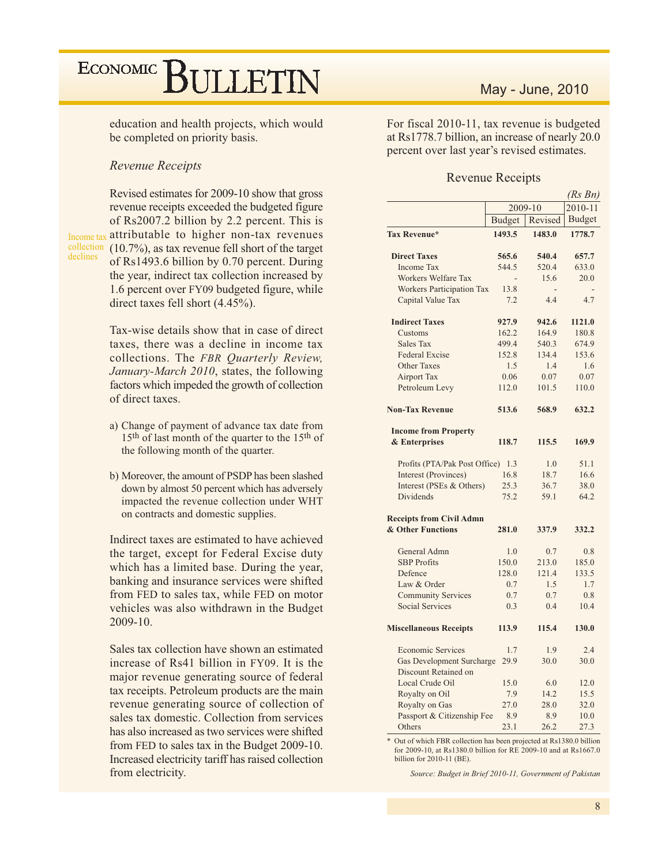education and health projects, which would be completed on priority basis.

### **Revenue Receipts**

Revised estimates for 2009-10 show that gross revenue receipts exceeded the budgeted figure of Rs2007.2 billion by 2.2 percent. This is Income tax attributable to higher non-tax revenues collection (10.7%), as tax revenue fell short of the target declines of Rs1493.6 billion by 0.70 percent. During the year, indirect tax collection increased by 1.6 percent over FY09 budgeted figure, while direct taxes fell short  $(4.45\%)$ .

> Tax-wise details show that in case of direct taxes, there was a decline in income tax collections. The FBR Quarterly Review, January-March 2010, states, the following factors which impeded the growth of collection of direct taxes.

- a) Change of payment of advance tax date from 15<sup>th</sup> of last month of the quarter to the 15<sup>th</sup> of the following month of the quarter.
- b) Moreover, the amount of PSDP has been slashed down by almost 50 percent which has adversely impacted the revenue collection under WHT on contracts and domestic supplies.

Indirect taxes are estimated to have achieved the target, except for Federal Excise duty which has a limited base. During the year, banking and insurance services were shifted from FED to sales tax, while FED on motor vehicles was also withdrawn in the Budget  $2009-10.$ 

Sales tax collection have shown an estimated increase of Rs41 billion in FY09. It is the major revenue generating source of federal tax receipts. Petroleum products are the main revenue generating source of collection of sales tax domestic. Collection from services has also increased as two services were shifted from FED to sales tax in the Budget 2009-10. Increased electricity tariff has raised collection from electricity.

### May - June, 2010

For fiscal 2010-11, tax revenue is budgeted at Rs1778.7 billion, an increase of nearly 20.0 percent over last year's revised estimates.

### **Revenue Receipts**

|                                  |               |             | (Rs Bn)       |
|----------------------------------|---------------|-------------|---------------|
|                                  | 2009-10       | $2010 - 11$ |               |
|                                  | <b>Budget</b> | Revised     | <b>Budget</b> |
| Tax Revenue*                     | 1493.5        | 1483.0      | 1778.7        |
| <b>Direct Taxes</b>              | 565.6         | 540.4       | 657.7         |
| <b>Income Tax</b>                | 544.5         | 520.4       | 633.0         |
| <b>Workers Welfare Tax</b>       |               | 15.6        | 20.0          |
| <b>Workers Participation Tax</b> | 13.8          |             |               |
| Capital Value Tax                | 7.2           | 4.4         | 4.7           |
| <b>Indirect Taxes</b>            | 927.9         | 942.6       | 1121.0        |
| Customs                          | 162.2         | 164.9       | 180.8         |
| Sales Tax                        | 499.4         | 540.3       | 674.9         |
| <b>Federal Excise</b>            | 152.8         | 134.4       | 153.6         |
| <b>Other Taxes</b>               | 1.5           | 1.4         | 1.6           |
| <b>Airport Tax</b>               | 0.06          | 0.07        | 0.07          |
| Petroleum Levy                   | 112.0         | 101.5       | 110.0         |
| <b>Non-Tax Revenue</b>           | 513.6         | 568.9       | 632.2         |
| <b>Income from Property</b>      |               |             |               |
| & Enterprises                    | 118.7         | 115.5       | 169.9         |
| Profits (PTA/Pak Post Office)    | 1.3           | 1.0         | 51.1          |
| Interest (Provinces)             | 16.8          | 18.7        | 16.6          |
| Interest (PSEs & Others)         | 25.3          | 36.7        | 38.0          |
| Dividends                        | 75.2          | 59.1        | 64.2          |
| <b>Receipts from Civil Admn</b>  |               |             |               |
| & Other Functions                | 281.0         | 337.9       | 332.2         |
| General Admn                     | 1.0           | 0.7         | 0.8           |
| <b>SBP</b> Profits               | 150.0         | 213.0       | 185.0         |
| Defence                          | 128.0         | 121.4       | 133.5         |
| Law & Order                      | 0.7           | 1.5         | 1.7           |
| <b>Community Services</b>        | 0.7           | 0.7         | 0.8           |
| <b>Social Services</b>           | 0.3           | 0.4         | 10.4          |
| <b>Miscellaneous Receipts</b>    | 113.9         | 115.4       | 130.0         |
| <b>Economic Services</b>         | 1.7           | 1.9         | 2.4           |
| <b>Gas Development Surcharge</b> | 29.9          | 30.0        | 30.0          |
| Discount Retained on             |               |             |               |
| Local Crude Oil                  | 15.0          | 6.0         | 12.0          |
| Royalty on Oil                   | 7.9           | 14.2        | 15.5          |
| Royalty on Gas                   | 27.0          | 28.0        | 32.0          |
| Passport & Citizenship Fee       | 8.9           | 8.9         | 10.0          |
| Others                           | 23.1          | 26.2        | 27.3          |

\* Out of which FBR collection has been projected at Rs1380.0 billion for 2009-10, at Rs1380.0 billion for RE 2009-10 and at Rs1667.0 billion for 2010-11 (BE).

Source: Budget in Brief 2010-11, Government of Pakistan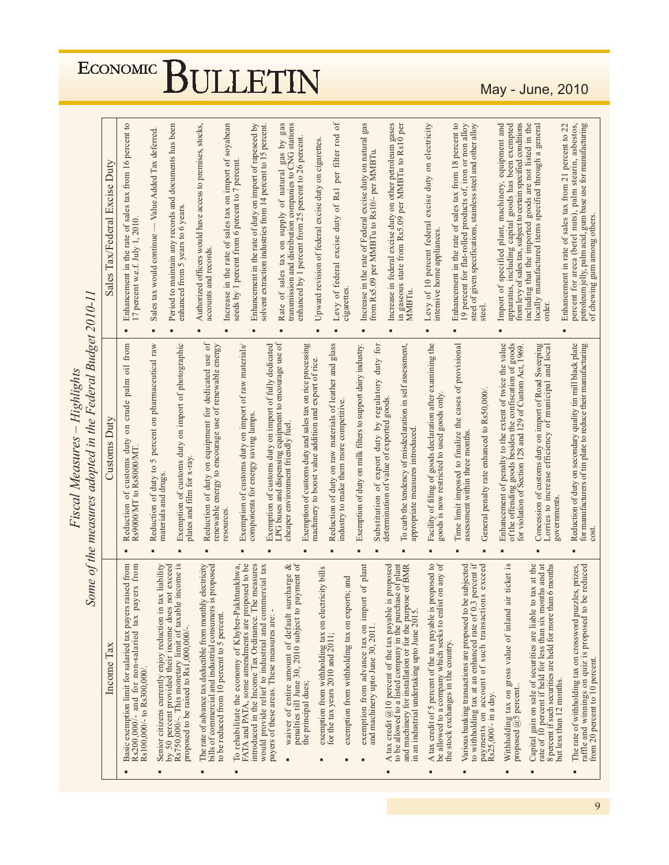| Tax/Federal Excise Duty<br>Sales | sales tax from 16 percent to<br>17 percent w.e.f. July 1, 2010.<br>the rate of<br>Enhancement in | Value Added Tax deferred.<br>Sales tax would continue<br>٠                                                                                                                            | enhanced from 5 years to 6 years.                                                                                                                                            | accounts and records                                                                                                                                                                                                                                                                                  | seeds by 1 percent from 6 percent to 7 percent.                                                                                                                                                                                                                              | Enhancement in the rate of duty on import of rapeseed by                                                                                                                     | supply of natural gas by ga<br>sales tax on<br>$\circ$ f<br>Rate                                                                                                                                                                                          | enhanced by 1 percent from 25 percent to 26 percent.                                                                                                                                                                             |                                                                                                                                                                                                                                                                                                                                 | cigarettes                                                                                                   | gas<br>Increase in the rate of Federal excise duty on natural                                                                                                                                                                                                     |                                                                                                                                                                 | Increase in federal excise duty on other petroleum gases<br>in gaseous state from Rs5.09 per MMBTu to Rs10 per<br>MMBTu. | Levy of 10 percent federal excise duty on electricity<br>intensive home appliances                                                                                                                                                                                                                                                                                                     | Enhancement in the rate of sales tax from 18 percent to<br>19 percent for flat-rolled products of, iron or non alloy                                                                                                    | steel                                                                                                                                                                                         | Import of specified plant, machinery, equipment and<br>from levy of sales tax, subject to certain specified conditions<br>apparatus, including capital goods has been exempted                                                  | ocally manufactured items specified through a general<br>order                                                                                                                                                                                                 | petroleum jelly, palm acid, gum base use for manufacturing<br>percent for areca (betel nuts), palm stearin, asbestos,<br>Enhancement in rate of sales tax from 21 percent to 22<br>of chewing gum among others.                                                                                                                                                                                                    |
|----------------------------------|--------------------------------------------------------------------------------------------------|---------------------------------------------------------------------------------------------------------------------------------------------------------------------------------------|------------------------------------------------------------------------------------------------------------------------------------------------------------------------------|-------------------------------------------------------------------------------------------------------------------------------------------------------------------------------------------------------------------------------------------------------------------------------------------------------|------------------------------------------------------------------------------------------------------------------------------------------------------------------------------------------------------------------------------------------------------------------------------|------------------------------------------------------------------------------------------------------------------------------------------------------------------------------|-----------------------------------------------------------------------------------------------------------------------------------------------------------------------------------------------------------------------------------------------------------|----------------------------------------------------------------------------------------------------------------------------------------------------------------------------------------------------------------------------------|---------------------------------------------------------------------------------------------------------------------------------------------------------------------------------------------------------------------------------------------------------------------------------------------------------------------------------|--------------------------------------------------------------------------------------------------------------|-------------------------------------------------------------------------------------------------------------------------------------------------------------------------------------------------------------------------------------------------------------------|-----------------------------------------------------------------------------------------------------------------------------------------------------------------|--------------------------------------------------------------------------------------------------------------------------|----------------------------------------------------------------------------------------------------------------------------------------------------------------------------------------------------------------------------------------------------------------------------------------------------------------------------------------------------------------------------------------|-------------------------------------------------------------------------------------------------------------------------------------------------------------------------------------------------------------------------|-----------------------------------------------------------------------------------------------------------------------------------------------------------------------------------------------|---------------------------------------------------------------------------------------------------------------------------------------------------------------------------------------------------------------------------------|----------------------------------------------------------------------------------------------------------------------------------------------------------------------------------------------------------------------------------------------------------------|--------------------------------------------------------------------------------------------------------------------------------------------------------------------------------------------------------------------------------------------------------------------------------------------------------------------------------------------------------------------------------------------------------------------|
|                                  | from<br>$\overline{0}$                                                                           |                                                                                                                                                                                       |                                                                                                                                                                              |                                                                                                                                                                                                                                                                                                       |                                                                                                                                                                                                                                                                              |                                                                                                                                                                              |                                                                                                                                                                                                                                                           |                                                                                                                                                                                                                                  |                                                                                                                                                                                                                                                                                                                                 |                                                                                                              |                                                                                                                                                                                                                                                                   | for<br>duty                                                                                                                                                     |                                                                                                                          |                                                                                                                                                                                                                                                                                                                                                                                        |                                                                                                                                                                                                                         |                                                                                                                                                                                               |                                                                                                                                                                                                                                 |                                                                                                                                                                                                                                                                |                                                                                                                                                                                                                                                                                                                                                                                                                    |
|                                  |                                                                                                  |                                                                                                                                                                                       |                                                                                                                                                                              |                                                                                                                                                                                                                                                                                                       |                                                                                                                                                                                                                                                                              |                                                                                                                                                                              |                                                                                                                                                                                                                                                           |                                                                                                                                                                                                                                  |                                                                                                                                                                                                                                                                                                                                 |                                                                                                              |                                                                                                                                                                                                                                                                   |                                                                                                                                                                 |                                                                                                                          |                                                                                                                                                                                                                                                                                                                                                                                        |                                                                                                                                                                                                                         |                                                                                                                                                                                               |                                                                                                                                                                                                                                 |                                                                                                                                                                                                                                                                |                                                                                                                                                                                                                                                                                                                                                                                                                    |
|                                  | $\sin$                                                                                           |                                                                                                                                                                                       | $\sin$                                                                                                                                                                       |                                                                                                                                                                                                                                                                                                       |                                                                                                                                                                                                                                                                              |                                                                                                                                                                              |                                                                                                                                                                                                                                                           |                                                                                                                                                                                                                                  |                                                                                                                                                                                                                                                                                                                                 |                                                                                                              |                                                                                                                                                                                                                                                                   | duty by                                                                                                                                                         |                                                                                                                          |                                                                                                                                                                                                                                                                                                                                                                                        |                                                                                                                                                                                                                         |                                                                                                                                                                                               |                                                                                                                                                                                                                                 |                                                                                                                                                                                                                                                                |                                                                                                                                                                                                                                                                                                                                                                                                                    |
|                                  |                                                                                                  |                                                                                                                                                                                       |                                                                                                                                                                              |                                                                                                                                                                                                                                                                                                       |                                                                                                                                                                                                                                                                              |                                                                                                                                                                              |                                                                                                                                                                                                                                                           |                                                                                                                                                                                                                                  |                                                                                                                                                                                                                                                                                                                                 |                                                                                                              |                                                                                                                                                                                                                                                                   | $\sigma f$                                                                                                                                                      |                                                                                                                          |                                                                                                                                                                                                                                                                                                                                                                                        |                                                                                                                                                                                                                         |                                                                                                                                                                                               |                                                                                                                                                                                                                                 |                                                                                                                                                                                                                                                                |                                                                                                                                                                                                                                                                                                                                                                                                                    |
|                                  |                                                                                                  |                                                                                                                                                                                       |                                                                                                                                                                              |                                                                                                                                                                                                                                                                                                       |                                                                                                                                                                                                                                                                              |                                                                                                                                                                              |                                                                                                                                                                                                                                                           |                                                                                                                                                                                                                                  |                                                                                                                                                                                                                                                                                                                                 |                                                                                                              |                                                                                                                                                                                                                                                                   |                                                                                                                                                                 |                                                                                                                          |                                                                                                                                                                                                                                                                                                                                                                                        |                                                                                                                                                                                                                         |                                                                                                                                                                                               |                                                                                                                                                                                                                                 |                                                                                                                                                                                                                                                                | Reduction of duty on secondary quality tin mill black plate<br>for manufacturers of tin plate to reduce their manufacturing<br>cost                                                                                                                                                                                                                                                                                |
|                                  |                                                                                                  |                                                                                                                                                                                       |                                                                                                                                                                              |                                                                                                                                                                                                                                                                                                       |                                                                                                                                                                                                                                                                              |                                                                                                                                                                              |                                                                                                                                                                                                                                                           |                                                                                                                                                                                                                                  |                                                                                                                                                                                                                                                                                                                                 |                                                                                                              |                                                                                                                                                                                                                                                                   |                                                                                                                                                                 |                                                                                                                          |                                                                                                                                                                                                                                                                                                                                                                                        |                                                                                                                                                                                                                         |                                                                                                                                                                                               |                                                                                                                                                                                                                                 |                                                                                                                                                                                                                                                                |                                                                                                                                                                                                                                                                                                                                                                                                                    |
|                                  | raised from                                                                                      | tax liability                                                                                                                                                                         |                                                                                                                                                                              | yelectricity<br>is proposed                                                                                                                                                                                                                                                                           |                                                                                                                                                                                                                                                                              | le measures                                                                                                                                                                  |                                                                                                                                                                                                                                                           | payment                                                                                                                                                                                                                          |                                                                                                                                                                                                                                                                                                                                 |                                                                                                              |                                                                                                                                                                                                                                                                   |                                                                                                                                                                 |                                                                                                                          | proposed to                                                                                                                                                                                                                                                                                                                                                                            |                                                                                                                                                                                                                         |                                                                                                                                                                                               | $\ddot{a}$                                                                                                                                                                                                                      |                                                                                                                                                                                                                                                                | raffle and winnings on quiz is proposed to be reduced<br>from 20 percent to 10 percent.<br>The rate of withholding tax on crossword puzzles, prizes,                                                                                                                                                                                                                                                               |
|                                  |                                                                                                  |                                                                                                                                                                                       |                                                                                                                                                                              |                                                                                                                                                                                                                                                                                                       | в                                                                                                                                                                                                                                                                            |                                                                                                                                                                              |                                                                                                                                                                                                                                                           | the principal dues;                                                                                                                                                                                                              |                                                                                                                                                                                                                                                                                                                                 |                                                                                                              |                                                                                                                                                                                                                                                                   |                                                                                                                                                                 |                                                                                                                          | ٠                                                                                                                                                                                                                                                                                                                                                                                      | $\blacksquare$                                                                                                                                                                                                          | Rs25,000/- in a day.                                                                                                                                                                          | ٠                                                                                                                                                                                                                               |                                                                                                                                                                                                                                                                | ٠                                                                                                                                                                                                                                                                                                                                                                                                                  |
|                                  | <b>Customs Duty</b><br>Income Tax                                                                | crude palm<br>customs duty<br>Reduction of customs au<br>Rs9000/MT to Rs8000/MT.<br>Rs200,000/- and for non-salaried tax payers from<br>Basic exemption limit for salaried tax payers | percent on pharmaceutical raw<br>$\frac{1}{2}$<br>Reduction of duty to<br>materials and drugs.<br>Senior citizens currently enjoy reduction in<br>Rs100,000/- to Rs300,000/. | Period to maintain any records and documents has been<br>import of photographic<br>Exemption of customs duty<br>plates and film for x-ray.<br>by 50 percent provided their income does not exceed<br>Rs750,000/-. This monetary limit of taxable income is<br>proposed to be raised to Rs1,000,000/-. | Authorized officers would have access to premises, stocks,<br>Reduction of duty on equipment for dedicated use of<br>renewable energy to encourage use of renewable energy<br>The rate of advance tax deductible from monthl<br>bills of commercial and industrial consumers | soyabean<br>Increase in the rate of sales tax on import of<br>resources<br>To rehabilitate the economy of Khyber-Pakhtunkhwa,<br>to be reduced from 10 percent to 5 percent. | Exemption of customs duty on import of raw materials/<br>components for energy saving lamps.<br>FATA and PATA, some amendments are proposed to be<br>would provide relief to industrial and commercial tax<br>introduced in the Income Tax Ordinance. The | solvent extraction industries from 14 percent to 15 percent.<br>LPG buses and dispensing equipment to encourage use of<br>Exemption of customs duty on import of fully dedicated<br>payers of these areas. These measures are: - | $\mu$ and $\mu$ is a set of $\mu$ is a supply of natural gas by gas transmission and distribution companies to CNG stations<br>Exemption of customs duty and sales tax on rice processing<br>cheaper environment friendly fuel<br>85<br>waiver of entire amount of default surcharge<br>penalties till June 30, 2010 subject to | Upward revision of federal excise duty on cigarettes<br>machinery to boost value addition and export of rice | $\delta$<br>per filter rod<br>Levy of federal excise duty of Rs1<br>Reduction of duty on raw materials of leather and glass<br>industry to make them more competitive.<br>exemption from withholding tax on electricity bills<br>for the tax years 2010 and 2011; | Exemption of duty on milk filters to support dairy industry.<br>exemption from advance tax on import of plant<br>exemption from withholding tax on exports; and | from Rs5.09 per MMBTu to Rs10/- per MMBTu<br>regulatory<br>export<br>Substitution<br>and machinery upto June 30, 2011.   | To curb the tendency of misdeclaration in self assessment,<br>determination of value of exported goods<br>appropriate measures introduced<br>to be allowed to a listed company in the purchase of plant<br>and machinery for installation or for the purpose of BMR<br>is proposed<br>A tax credit $(a)$ 10 percent of the tax payable<br>in an industrial undertaking upto June 2015. | Facility of filing of goods declaration after examining the<br>goods is now restricted to used goods only<br>be allowed to a company which seeks to enlist on any of<br>A tax credit of 5 percent of the tax payable is | Time limit imposed to finalize the cases of provisional<br>assessment within three months<br>Various banking transactions are proposed to be subjected<br>the stock exchanges in the country. | steel of given specifications, stainless steel and other alloy<br>General penalty rate enhanced to Rs50,000/<br>3 percent if<br>payments on account of such transactions exceed<br>to withholding tax at an enhanced rate of 0. | Enhancement of penalty to the extent of twice the value<br>of the offending goods besides the confiscation of goods<br>for violation of Section 128 and 129 of Custom Act, 1969.<br>Withholding tax on gross value of inland air ticket<br>proposed @5 percent | including that the imported goods are not listed in the<br>Concession of customs duty on import of Road Sweeping<br>Lorries to increase efficiency of municipal and local<br>governments.<br>Capital gain on sale of securities are liable to tax at the<br>rate of 10 percent if held for less than six months and at<br>8 percent if such securities are held for more than 6 months<br>but less than 12 months. |

Fiscal Measures - Highlights

May - June, 2010

# ECONOMIC BULLETIN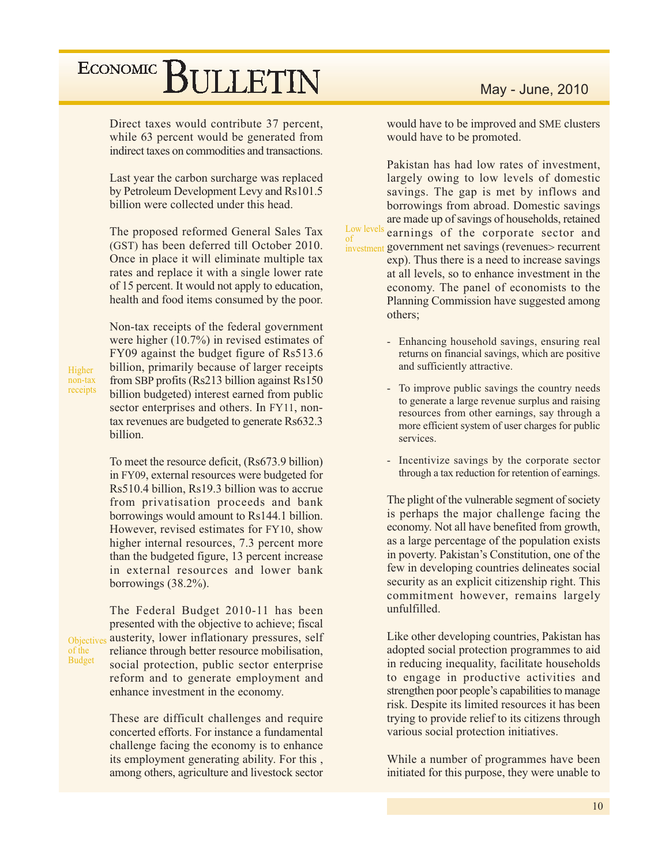indirect taxes on commodities and transactions. Last year the carbon surcharge was replaced by Petroleum Development Levy and Rs101.5 billion were collected under this head. The proposed reformed General Sales Tax (GST) has been deferred till October 2010. Once in place it will eliminate multiple tax rates and replace it with a single lower rate of 15 percent. It would not apply to education, health and food items consumed by the poor. Non-tax receipts of the federal government were higher  $(10.7\%)$  in revised estimates of

 $\sigma$ 

Direct taxes would contribute 37 percent,

while 63 percent would be generated from

Higher non-tax receipts FY09 against the budget figure of Rs513.6 billion, primarily because of larger receipts from SBP profits (Rs213 billion against Rs150) billion budgeted) interest earned from public sector enterprises and others. In FY11, nontax revenues are budgeted to generate Rs632.3 billion.

To meet the resource deficit, (Rs673.9 billion) in FY09, external resources were budgeted for Rs510.4 billion, Rs19.3 billion was to accrue from privatisation proceeds and bank borrowings would amount to Rs144.1 billion. However, revised estimates for FY10, show higher internal resources, 7.3 percent more than the budgeted figure, 13 percent increase in external resources and lower bank borrowings  $(38.2\%)$ .

The Federal Budget 2010-11 has been presented with the objective to achieve; fiscal austerity, lower inflationary pressures, self Objectives reliance through better resource mobilisation, of the **Budget** social protection, public sector enterprise reform and to generate employment and enhance investment in the economy.

> These are difficult challenges and require concerted efforts. For instance a fundamental challenge facing the economy is to enhance its employment generating ability. For this, among others, agriculture and livestock sector

### May - June, 2010

would have to be improved and SME clusters would have to be promoted.

Pakistan has had low rates of investment. largely owing to low levels of domestic savings. The gap is met by inflows and borrowings from abroad. Domestic savings are made up of savings of households, retained Low levels earnings of the corporate sector and investment government net savings (revenues> recurrent exp). Thus there is a need to increase savings at all levels, so to enhance investment in the economy. The panel of economists to the Planning Commission have suggested among others:

- Enhancing household savings, ensuring real returns on financial savings, which are positive and sufficiently attractive.
- $\mathbf{r}$ To improve public savings the country needs to generate a large revenue surplus and raising resources from other earnings, say through a more efficient system of user charges for public services.
- L. Incentivize savings by the corporate sector through a tax reduction for retention of earnings.

The plight of the vulnerable segment of society is perhaps the major challenge facing the economy. Not all have benefited from growth, as a large percentage of the population exists in poverty. Pakistan's Constitution, one of the few in developing countries delineates social security as an explicit citizenship right. This commitment however, remains largely unfulfilled.

Like other developing countries, Pakistan has adopted social protection programmes to aid in reducing inequality, facilitate households to engage in productive activities and strengthen poor people's capabilities to manage risk. Despite its limited resources it has been trying to provide relief to its citizens through various social protection initiatives.

While a number of programmes have been initiated for this purpose, they were unable to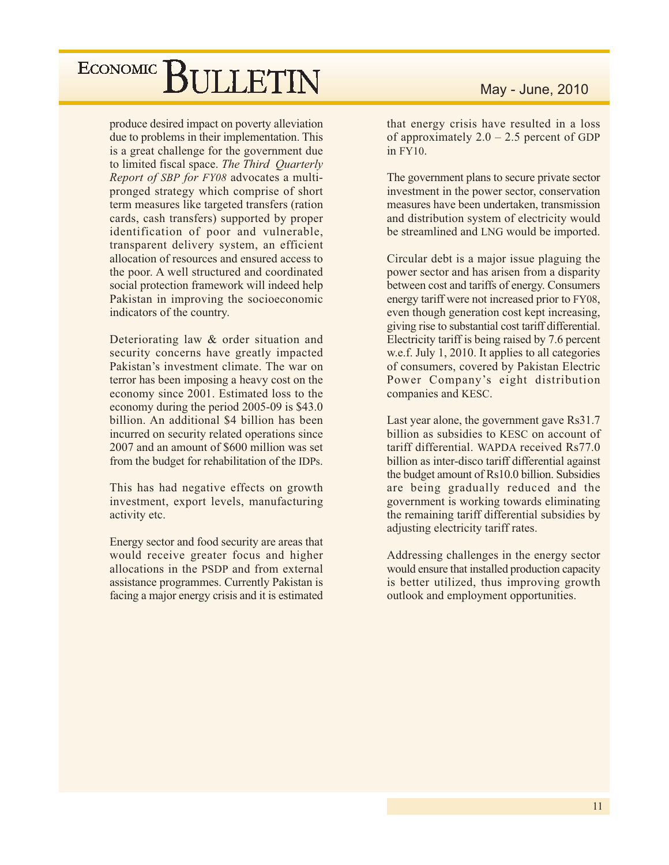produce desired impact on poverty alleviation due to problems in their implementation. This is a great challenge for the government due to limited fiscal space. The Third Quarterly Report of SBP for FY08 advocates a multipronged strategy which comprise of short term measures like targeted transfers (ration cards, cash transfers) supported by proper identification of poor and vulnerable, transparent delivery system, an efficient allocation of resources and ensured access to the poor. A well structured and coordinated social protection framework will indeed help Pakistan in improving the socioeconomic indicators of the country.

Deteriorating law & order situation and security concerns have greatly impacted Pakistan's investment climate. The war on terror has been imposing a heavy cost on the economy since 2001. Estimated loss to the economy during the period 2005-09 is \$43.0 billion. An additional \$4 billion has been incurred on security related operations since 2007 and an amount of \$600 million was set from the budget for rehabilitation of the IDPs.

This has had negative effects on growth investment, export levels, manufacturing activity etc.

Energy sector and food security are areas that would receive greater focus and higher allocations in the PSDP and from external assistance programmes. Currently Pakistan is facing a major energy crisis and it is estimated

that energy crisis have resulted in a loss of approximately  $2.0 - 2.5$  percent of GDP in FY10.

The government plans to secure private sector investment in the power sector, conservation measures have been undertaken, transmission and distribution system of electricity would be streamlined and LNG would be imported.

Circular debt is a major issue plaguing the power sector and has arisen from a disparity between cost and tariffs of energy. Consumers energy tariff were not increased prior to FY08, even though generation cost kept increasing, giving rise to substantial cost tariff differential. Electricity tariff is being raised by 7.6 percent w.e.f. July 1, 2010. It applies to all categories of consumers, covered by Pakistan Electric Power Company's eight distribution companies and KESC.

Last year alone, the government gave Rs31.7 billion as subsidies to KESC on account of tariff differential. WAPDA received Rs77.0 billion as inter-disco tariff differential against the budget amount of Rs10.0 billion. Subsidies are being gradually reduced and the government is working towards eliminating the remaining tariff differential subsidies by adjusting electricity tariff rates.

Addressing challenges in the energy sector would ensure that installed production capacity is better utilized, thus improving growth outlook and employment opportunities.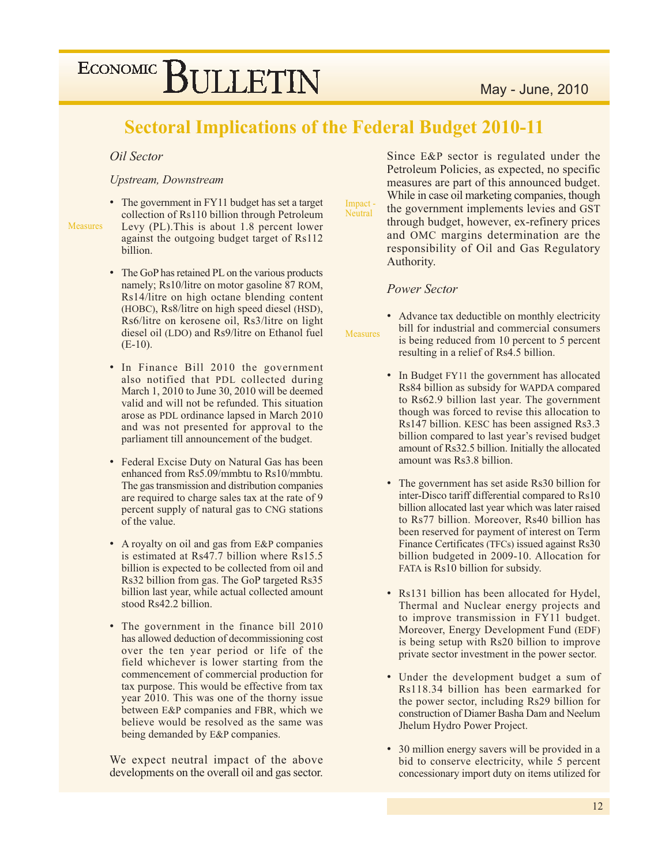## **Sectoral Implications of the Federal Budget 2010-11**

### Oil Sector

#### **Upstream**, Downstream

**Measures** 

• The government in FY11 budget has set a target collection of Rs110 billion through Petroleum Levy (PL). This is about 1.8 percent lower against the outgoing budget target of Rs112 billion.

- The GoP has retained PL on the various products namely; Rs10/litre on motor gasoline 87 ROM, Rs14/litre on high octane blending content (HOBC), Rs8/litre on high speed diesel (HSD), Rs6/litre on kerosene oil, Rs3/litre on light diesel oil (LDO) and Rs9/litre on Ethanol fuel  $(E-10)$ .
- In Finance Bill 2010 the government also notified that PDL collected during March 1, 2010 to June 30, 2010 will be deemed valid and will not be refunded. This situation arose as PDL ordinance lapsed in March 2010 and was not presented for approval to the parliament till announcement of the budget.
- Federal Excise Duty on Natural Gas has been enhanced from Rs5.09/mmbtu to Rs10/mmbtu. The gas transmission and distribution companies are required to charge sales tax at the rate of 9 percent supply of natural gas to CNG stations of the value.
- A royalty on oil and gas from E&P companies is estimated at Rs47.7 billion where Rs15.5 billion is expected to be collected from oil and Rs32 billion from gas. The GoP targeted Rs35 billion last year, while actual collected amount stood Rs42.2 billion.
- The government in the finance bill 2010 has allowed deduction of decommissioning cost over the ten year period or life of the field whichever is lower starting from the commencement of commercial production for tax purpose. This would be effective from tax year 2010. This was one of the thorny issue between E&P companies and FBR, which we believe would be resolved as the same was being demanded by E&P companies.

We expect neutral impact of the above developments on the overall oil and gas sector.

Since E&P sector is regulated under the Petroleum Policies, as expected, no specific measures are part of this announced budget. While in case oil marketing companies, though the government implements levies and GST through budget, however, ex-refinery prices and OMC margins determination are the responsibility of Oil and Gas Regulatory Authority.

#### **Power Sector**

**Measures** 

Impact .

Neutral

• Advance tax deductible on monthly electricity bill for industrial and commercial consumers is being reduced from 10 percent to 5 percent resulting in a relief of Rs4.5 billion.

- In Budget FY11 the government has allocated Rs84 billion as subsidy for WAPDA compared to Rs62.9 billion last year. The government though was forced to revise this allocation to Rs147 billion. KESC has been assigned Rs3.3 billion compared to last year's revised budget amount of Rs32.5 billion. Initially the allocated amount was Rs3.8 billion.
- The government has set aside Rs30 billion for inter-Disco tariff differential compared to Rs10 billion allocated last year which was later raised to Rs77 billion. Moreover, Rs40 billion has been reserved for payment of interest on Term Finance Certificates (TFCs) issued against Rs30 billion budgeted in 2009-10. Allocation for FATA is Rs10 billion for subsidy.
- Rs131 billion has been allocated for Hydel, Thermal and Nuclear energy projects and to improve transmission in FY11 budget. Moreover, Energy Development Fund (EDF) is being setup with Rs20 billion to improve private sector investment in the power sector.
- Under the development budget a sum of Rs118.34 billion has been earmarked for the power sector, including Rs29 billion for construction of Diamer Basha Dam and Neelum Jhelum Hydro Power Project.
- 30 million energy savers will be provided in a bid to conserve electricity, while 5 percent concessionary import duty on items utilized for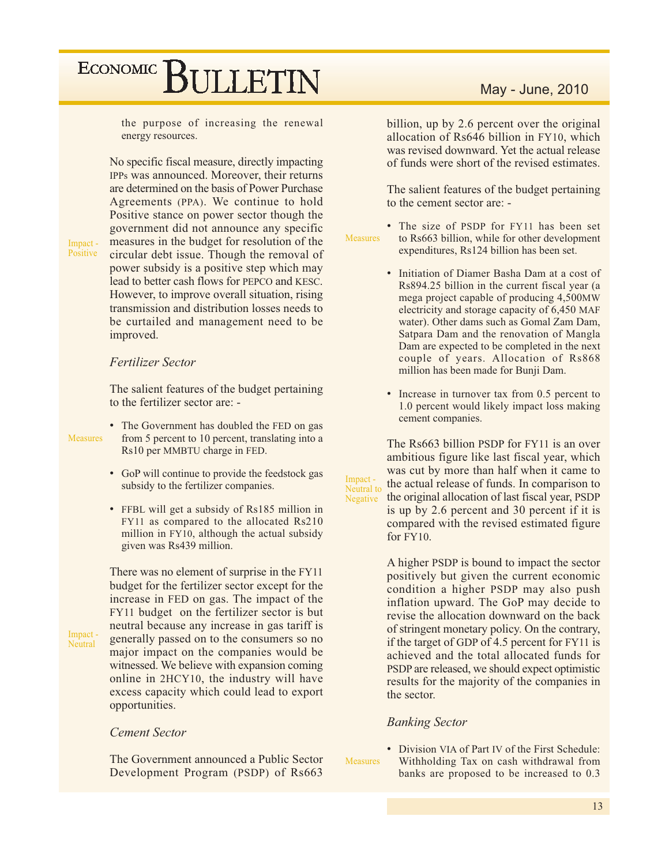the purpose of increasing the renewal energy resources.

No specific fiscal measure, directly impacting IPPs was announced. Moreover, their returns are determined on the basis of Power Purchase Agreements (PPA). We continue to hold Positive stance on power sector though the government did not announce any specific measures in the budget for resolution of the circular debt issue. Though the removal of power subsidy is a positive step which may lead to better cash flows for PEPCO and KESC. However, to improve overall situation, rising transmission and distribution losses needs to be curtailed and management need to be improved.

Impact -Positive

### **Fertilizer Sector**

The salient features of the budget pertaining to the fertilizer sector are: -

**Measures** 

Impact -

Neutral

• The Government has doubled the FED on gas from 5 percent to 10 percent, translating into a Rs10 per MMBTU charge in FED.

- GoP will continue to provide the feedstock gas subsidy to the fertilizer companies.
- FFBL will get a subsidy of Rs185 million in FY11 as compared to the allocated Rs210 million in FY10, although the actual subsidy given was Rs439 million.

There was no element of surprise in the FY11 budget for the fertilizer sector except for the increase in FED on gas. The impact of the FY11 budget on the fertilizer sector is but neutral because any increase in gas tariff is generally passed on to the consumers so no major impact on the companies would be witnessed. We believe with expansion coming online in 2HCY10, the industry will have excess capacity which could lead to export opportunities.

### **Cement Sector**

The Government announced a Public Sector Development Program (PSDP) of Rs663

## May - June, 2010

billion, up by 2.6 percent over the original allocation of Rs646 billion in FY10, which was revised downward. Yet the actual release of funds were short of the revised estimates.

The salient features of the budget pertaining to the cement sector are: -

• The size of PSDP for FY11 has been set Measures to Rs663 billion, while for other development expenditures, Rs124 billion has been set.

- Initiation of Diamer Basha Dam at a cost of Rs894.25 billion in the current fiscal year (a mega project capable of producing 4,500MW electricity and storage capacity of 6,450 MAF water). Other dams such as Gomal Zam Dam, Satpara Dam and the renovation of Mangla Dam are expected to be completed in the next couple of years. Allocation of Rs868 million has been made for Bunji Dam.
- Increase in turnover tax from 0.5 percent to 1.0 percent would likely impact loss making cement companies.

The Rs663 billion PSDP for FY11 is an over ambitious figure like last fiscal year, which was cut by more than half when it came to the actual release of funds. In comparison to Neutral to the original allocation of last fiscal year, PSDP is up by 2.6 percent and 30 percent if it is compared with the revised estimated figure for FY10.

> A higher PSDP is bound to impact the sector positively but given the current economic condition a higher PSDP may also push inflation upward. The GoP may decide to revise the allocation downward on the back of stringent monetary policy. On the contrary, if the target of GDP of 4.5 percent for FY11 is achieved and the total allocated funds for PSDP are released, we should expect optimistic results for the majority of the companies in the sector.

#### **Banking Sector**

**Measures** 

Impact-

Negative

• Division VIA of Part IV of the First Schedule: Withholding Tax on cash withdrawal from banks are proposed to be increased to 0.3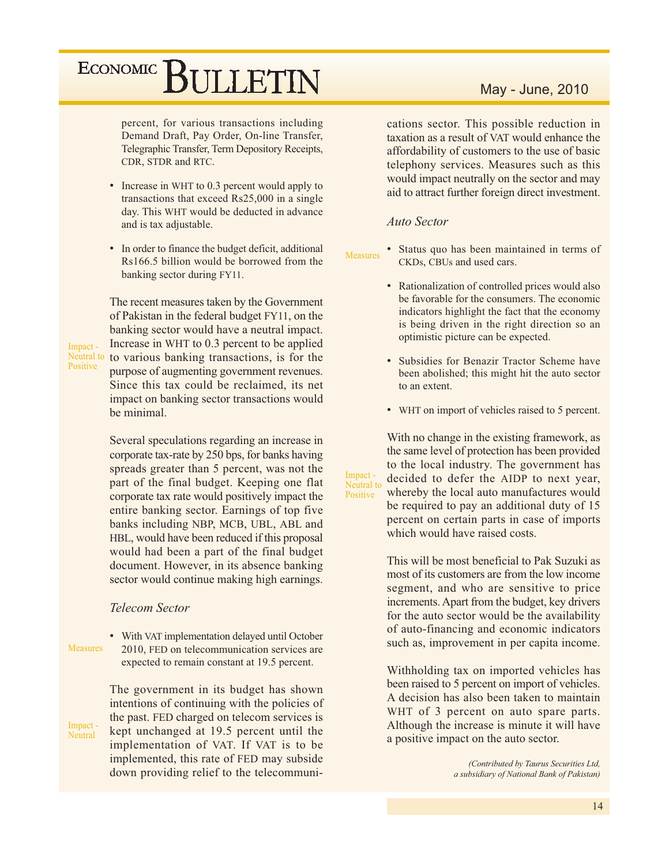percent, for various transactions including Demand Draft, Pay Order, On-line Transfer, Telegraphic Transfer, Term Depository Receipts, CDR, STDR and RTC.

- Increase in WHT to 0.3 percent would apply to transactions that exceed Rs25,000 in a single day. This WHT would be deducted in advance and is tax adjustable.
- In order to finance the budget deficit, additional Rs166.5 billion would be borrowed from the banking sector during FY11.

The recent measures taken by the Government of Pakistan in the federal budget FY11, on the banking sector would have a neutral impact. Increase in WHT to 0.3 percent to be applied Neutral to to various banking transactions, is for the purpose of augmenting government revenues. Since this tax could be reclaimed, its net impact on banking sector transactions would be minimal.

> Several speculations regarding an increase in corporate tax-rate by 250 bps, for banks having spreads greater than 5 percent, was not the part of the final budget. Keeping one flat corporate tax rate would positively impact the entire banking sector. Earnings of top five banks including NBP, MCB, UBL, ABL and HBL, would have been reduced if this proposal would had been a part of the final budget document. However, in its absence banking sector would continue making high earnings.

### **Telecom Sector**

• With VAT implementation delayed until October **Measures** 2010, FED on telecommunication services are expected to remain constant at 19.5 percent.

Impact -Neutral

Impact -

Positive

The government in its budget has shown intentions of continuing with the policies of the past. FED charged on telecom services is kept unchanged at 19.5 percent until the implementation of VAT. If VAT is to be implemented, this rate of FED may subside down providing relief to the telecommuni-

### May - June, 2010

cations sector. This possible reduction in taxation as a result of VAT would enhance the affordability of customers to the use of basic telephony services. Measures such as this would impact neutrally on the sector and may aid to attract further foreign direct investment.

### **Auto Sector**

Impact -

Positive

Neutral to

• Status quo has been maintained in terms of **Measures** CKDs, CBUs and used cars.

- Rationalization of controlled prices would also be favorable for the consumers. The economic indicators highlight the fact that the economy is being driven in the right direction so an optimistic picture can be expected.
- · Subsidies for Benazir Tractor Scheme have been abolished; this might hit the auto sector to an extent.
- WHT on import of vehicles raised to 5 percent.

With no change in the existing framework, as the same level of protection has been provided to the local industry. The government has decided to defer the AIDP to next year, whereby the local auto manufactures would be required to pay an additional duty of 15 percent on certain parts in case of imports which would have raised costs.

This will be most beneficial to Pak Suzuki as most of its customers are from the low income segment, and who are sensitive to price increments. Apart from the budget, key drivers for the auto sector would be the availability of auto-financing and economic indicators such as, improvement in per capita income.

Withholding tax on imported vehicles has been raised to 5 percent on import of vehicles. A decision has also been taken to maintain WHT of 3 percent on auto spare parts. Although the increase is minute it will have a positive impact on the auto sector.

> (Contributed by Taurus Securities Ltd, a subsidiary of National Bank of Pakistan)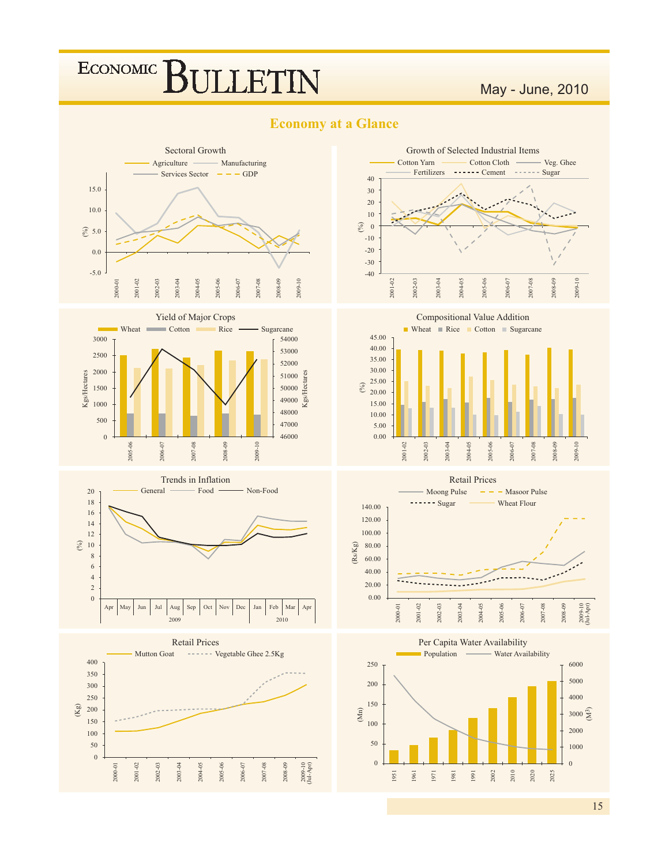## ECONOMIC<sup>]</sup> BULETIN

## May - June, 2010

- Veg. Ghee



### **Economy at a Glance**



Growth of Selected Industrial Items

Cotton Cloth -

Cotton Yarn













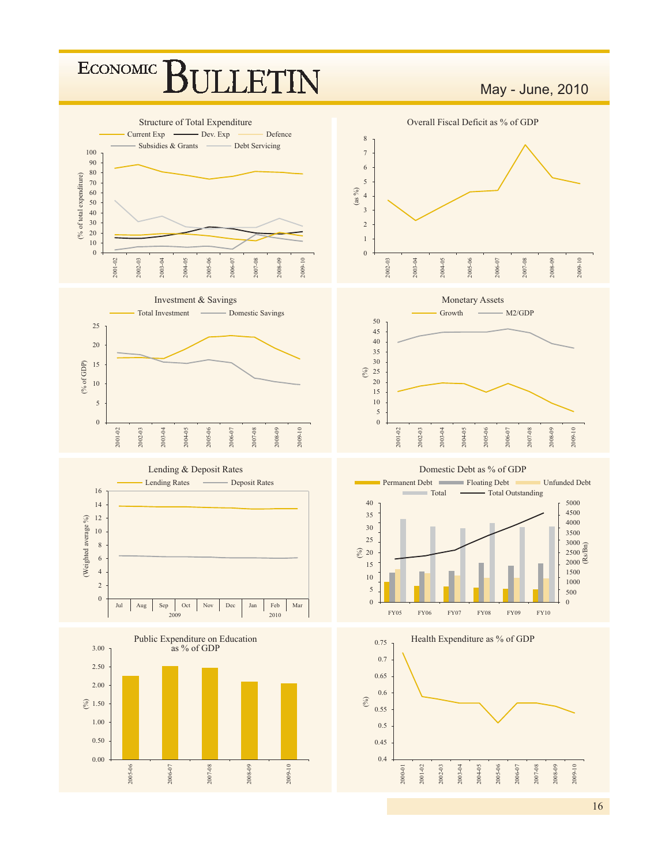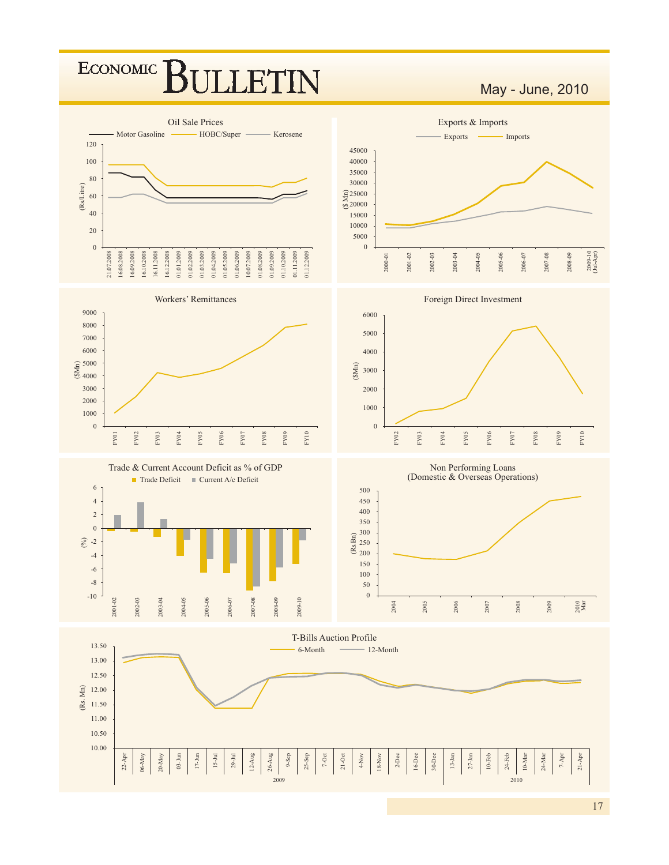## ECONOMIC<sup>]</sup> **ILLETIN**

May - June, 2010



 $17$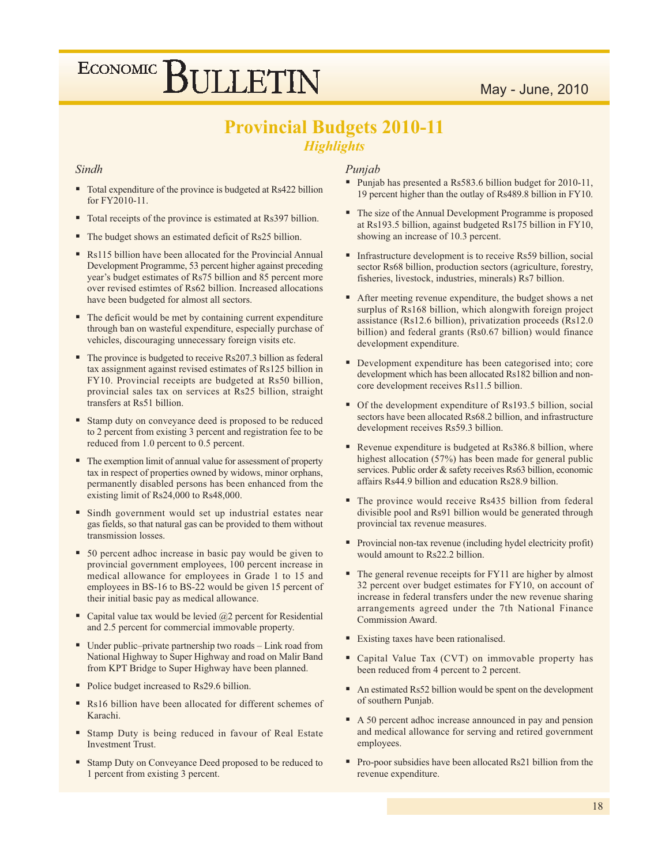## May - June, 2010

# ECONOMIC BULLETIN

## **Provincial Budgets 2010-11 Highlights**

#### Sindh

- Total expenditure of the province is budgeted at Rs422 billion for FY2010-11.
- Total receipts of the province is estimated at Rs397 billion.
- The budget shows an estimated deficit of Rs25 billion.
- Rs115 billion have been allocated for the Provincial Annual Development Programme, 53 percent higher against preceding year's budget estimates of Rs75 billion and 85 percent more over revised estimtes of Rs62 billion. Increased allocations have been budgeted for almost all sectors.
- The deficit would be met by containing current expenditure through ban on wasteful expenditure, especially purchase of vehicles, discouraging unnecessary foreign visits etc.
- The province is budgeted to receive Rs207.3 billion as federal tax assignment against revised estimates of Rs125 billion in FY10. Provincial receipts are budgeted at Rs50 billion, provincial sales tax on services at Rs25 billion, straight transfers at Rs51 billion.
- Stamp duty on conveyance deed is proposed to be reduced to 2 percent from existing 3 percent and registration fee to be reduced from 1.0 percent to 0.5 percent.
- The exemption limit of annual value for assessment of property tax in respect of properties owned by widows, minor orphans, permanently disabled persons has been enhanced from the existing limit of Rs24,000 to Rs48,000.
- Sindh government would set up industrial estates near gas fields, so that natural gas can be provided to them without transmission losses.
- 50 percent adhoc increase in basic pay would be given to provincial government employees, 100 percent increase in medical allowance for employees in Grade 1 to 15 and employees in BS-16 to BS-22 would be given 15 percent of their initial basic pay as medical allowance.
- Capital value tax would be levied  $(a)$ 2 percent for Residential and 2.5 percent for commercial immovable property.
- $\blacksquare$  Under public-private partnership two roads Link road from National Highway to Super Highway and road on Malir Band from KPT Bridge to Super Highway have been planned.
- Police budget increased to Rs29.6 billion.
- Rs16 billion have been allocated for different schemes of Karachi.
- Stamp Duty is being reduced in favour of Real Estate **Investment Trust.**
- Stamp Duty on Conveyance Deed proposed to be reduced to 1 percent from existing 3 percent.

### Punjab

- Punjab has presented a Rs583.6 billion budget for 2010-11, 19 percent higher than the outlay of Rs489.8 billion in FY10.
- The size of the Annual Development Programme is proposed at Rs193.5 billion, against budgeted Rs175 billion in FY10, showing an increase of 10.3 percent.
- Infrastructure development is to receive Rs59 billion, social sector Rs68 billion, production sectors (agriculture, forestry, fisheries, livestock, industries, minerals) Rs7 billion.
- After meeting revenue expenditure, the budget shows a net surplus of Rs168 billion, which alongwith foreign project assistance (Rs12.6 billion), privatization proceeds (Rs12.0 billion) and federal grants (Rs0.67 billion) would finance development expenditure.
- Development expenditure has been categorised into; core development which has been allocated Rs182 billion and noncore development receives Rs11.5 billion.
- Of the development expenditure of Rs193.5 billion, social sectors have been allocated Rs68.2 billion, and infrastructure development receives Rs59.3 billion.
- Revenue expenditure is budgeted at Rs386.8 billion, where highest allocation (57%) has been made for general public services. Public order & safety receives Rs63 billion, economic affairs Rs44.9 billion and education Rs28.9 billion.
- The province would receive Rs435 billion from federal divisible pool and Rs91 billion would be generated through provincial tax revenue measures.
- Provincial non-tax revenue (including hydel electricity profit) would amount to Rs22.2 billion.
- The general revenue receipts for FY11 are higher by almost 32 percent over budget estimates for FY10, on account of increase in federal transfers under the new revenue sharing arrangements agreed under the 7th National Finance Commission Award.
- Existing taxes have been rationalised.
- " Capital Value Tax (CVT) on immovable property has been reduced from 4 percent to 2 percent.
- An estimated Rs52 billion would be spent on the development of southern Punjab.
- A 50 percent adhoc increase announced in pay and pension and medical allowance for serving and retired government employees.
- Pro-poor subsidies have been allocated Rs21 billion from the revenue expenditure.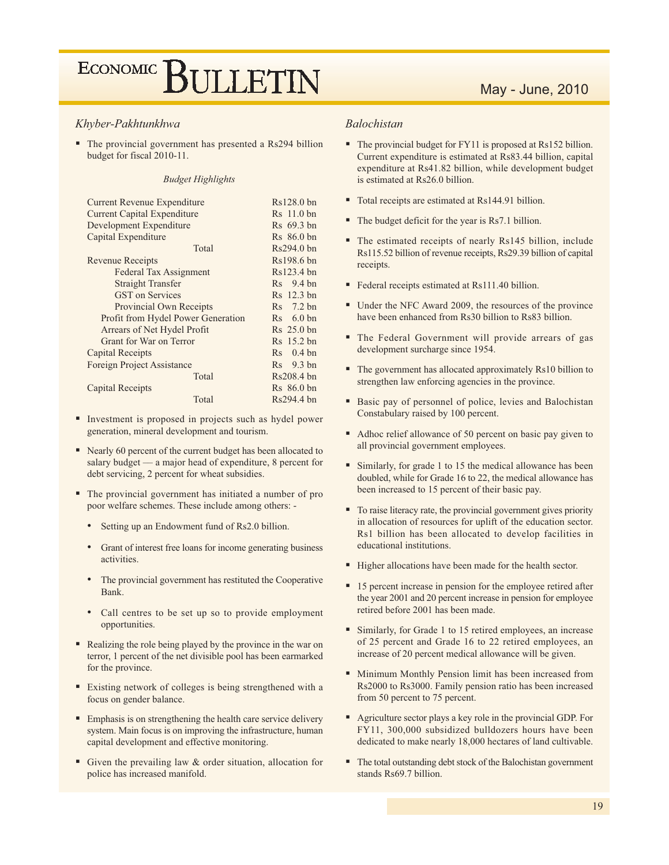#### Khyber-Pakhtunkhwa

 $\blacksquare$  The provincial government has presented a Rs294 billion budget for fiscal 2010-11.

#### **Budget Highlights**

| Current Revenue Expenditure        | $Rs128.0$ bn           |
|------------------------------------|------------------------|
| <b>Current Capital Expenditure</b> | Rs 11.0 bn             |
| Development Expenditure            | R <sub>s</sub> 69.3 bn |
| Capital Expenditure                | $Rs 86.0 \text{ bn}$   |
| Total                              | $Rs294.0$ bn           |
| <b>Revenue Receipts</b>            | Rs198.6 bn             |
| Federal Tax Assignment             | $Rs123.4$ bn           |
| <b>Straight Transfer</b>           | $Rs$ 9.4 bn            |
| <b>GST</b> on Services             | $Rs$ 12.3 bn           |
| Provincial Own Receipts            | $Rs$ 7.2 bn            |
| Profit from Hydel Power Generation | $Rs$ 6.0 bn            |
| Arrears of Net Hydel Profit        | Rs 25.0 bn             |
| Grant for War on Terror            | Rs 15.2 bn             |
| Capital Receipts                   | $Rs$ 0.4 bn            |
| <b>Foreign Project Assistance</b>  | $Rs$ 9.3 bn            |
| Total                              | Rs208.4 bn             |
| Capital Receipts                   | $Rs 86.0 \text{ bn}$   |
| Total                              | $Rs294.4$ bn           |

- Investment is proposed in projects such as hydel power generation, mineral development and tourism.
- Rearly 60 percent of the current budget has been allocated to salary budget — a major head of expenditure, 8 percent for debt servicing, 2 percent for wheat subsidies.
- The provincial government has initiated a number of pro poor welfare schemes. These include among others: -
	- Setting up an Endowment fund of Rs2.0 billion.
	- Grant of interest free loans for income generating business activities.
	- The provincial government has restituted the Cooperative Bank.
	- Call centres to be set up so to provide employment opportunities.
- Realizing the role being played by the province in the war on terror, 1 percent of the net divisible pool has been earmarked for the province.
- Existing network of colleges is being strengthened with a focus on gender balance.
- Emphasis is on strengthening the health care service delivery system. Main focus is on improving the infrastructure, human capital development and effective monitoring.
- Given the prevailing law & order situation, allocation for police has increased manifold.

## May - June, 2010

#### **Balochistan**

- The provincial budget for FY11 is proposed at Rs152 billion. Current expenditure is estimated at Rs83.44 billion, capital expenditure at Rs41.82 billion, while development budget is estimated at Rs26.0 billion.
- Total receipts are estimated at Rs144.91 billion.
- The budget deficit for the year is Rs7.1 billion.
- The estimated receipts of nearly Rs145 billion, include Rs115.52 billion of revenue receipts, Rs29.39 billion of capital receipts.
- Federal receipts estimated at Rs111.40 billion.
- Under the NFC Award 2009, the resources of the province have been enhanced from Rs30 billion to Rs83 billion.
- " The Federal Government will provide arrears of gas development surcharge since 1954.
- The government has allocated approximately Rs10 billion to strengthen law enforcing agencies in the province.
- " Basic pay of personnel of police, levies and Balochistan Constabulary raised by 100 percent.
- Adhoc relief allowance of 50 percent on basic pay given to all provincial government employees.
- Similarly, for grade 1 to 15 the medical allowance has been doubled, while for Grade 16 to 22, the medical allowance has been increased to 15 percent of their basic pay.
- To raise literacy rate, the provincial government gives priority in allocation of resources for uplift of the education sector. Rs1 billion has been allocated to develop facilities in educational institutions.
- Higher allocations have been made for the health sector.
- 15 percent increase in pension for the employee retired after the year 2001 and 20 percent increase in pension for employee retired before 2001 has been made.
- Similarly, for Grade 1 to 15 retired employees, an increase of 25 percent and Grade 16 to 22 retired employees, an increase of 20 percent medical allowance will be given.
- Minimum Monthly Pension limit has been increased from Rs2000 to Rs3000. Family pension ratio has been increased from 50 percent to 75 percent.
- Agriculture sector plays a key role in the provincial GDP. For FY11, 300,000 subsidized bulldozers hours have been dedicated to make nearly 18,000 hectares of land cultivable.
- The total outstanding debt stock of the Balochistan government stands Rs69.7 billion.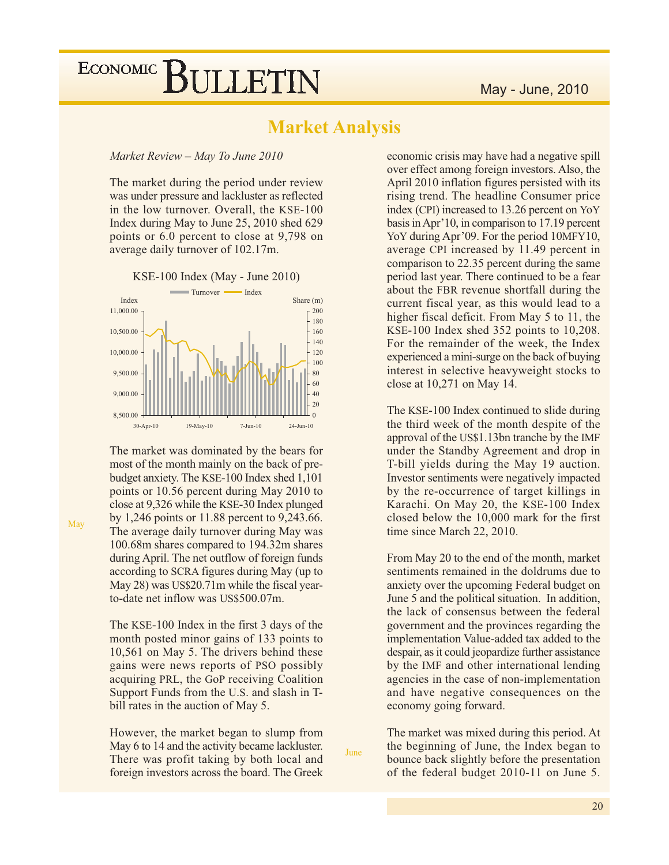## **Market Analysis**

#### Market Review - May To June 2010

The market during the period under review was under pressure and lackluster as reflected in the low turnover. Overall, the KSE-100 Index during May to June 25, 2010 shed 629 points or 6.0 percent to close at 9,798 on average daily turnover of 102.17m.



The market was dominated by the bears for most of the month mainly on the back of prebudget anxiety. The KSE-100 Index shed 1,101 points or 10.56 percent during May 2010 to close at 9,326 while the KSE-30 Index plunged by 1,246 points or 11.88 percent to 9,243.66. The average daily turnover during May was 100.68m shares compared to 194.32m shares during April. The net outflow of foreign funds according to SCRA figures during May (up to May 28) was US\$20.71m while the fiscal yearto-date net inflow was US\$500.07m.

The KSE-100 Index in the first 3 days of the month posted minor gains of 133 points to 10,561 on May 5. The drivers behind these gains were news reports of PSO possibly acquiring PRL, the GoP receiving Coalition Support Funds from the U.S. and slash in Tbill rates in the auction of May 5.

However, the market began to slump from May 6 to 14 and the activity became lackluster. There was profit taking by both local and foreign investors across the board. The Greek

**Iune** 

economic crisis may have had a negative spill over effect among foreign investors. Also, the April 2010 inflation figures persisted with its rising trend. The headline Consumer price index (CPI) increased to 13.26 percent on YoY basis in Apr'10, in comparison to 17.19 percent YoY during Apr'09. For the period 10MFY10, average CPI increased by 11.49 percent in comparison to 22.35 percent during the same period last year. There continued to be a fear about the FBR revenue shortfall during the current fiscal year, as this would lead to a higher fiscal deficit. From May 5 to 11, the KSE-100 Index shed 352 points to 10,208. For the remainder of the week, the Index experienced a mini-surge on the back of buying interest in selective heavyweight stocks to close at 10,271 on May 14.

The KSE-100 Index continued to slide during the third week of the month despite of the approval of the US\$1.13bn tranche by the IMF under the Standby Agreement and drop in T-bill yields during the May 19 auction. Investor sentiments were negatively impacted by the re-occurrence of target killings in Karachi. On May 20, the KSE-100 Index closed below the 10,000 mark for the first time since March 22, 2010.

From May 20 to the end of the month, market sentiments remained in the doldrums due to anxiety over the upcoming Federal budget on June 5 and the political situation. In addition, the lack of consensus between the federal government and the provinces regarding the implementation Value-added tax added to the despair, as it could jeopardize further assistance by the IMF and other international lending agencies in the case of non-implementation and have negative consequences on the economy going forward.

The market was mixed during this period. At the beginning of June, the Index began to bounce back slightly before the presentation of the federal budget 2010-11 on June 5.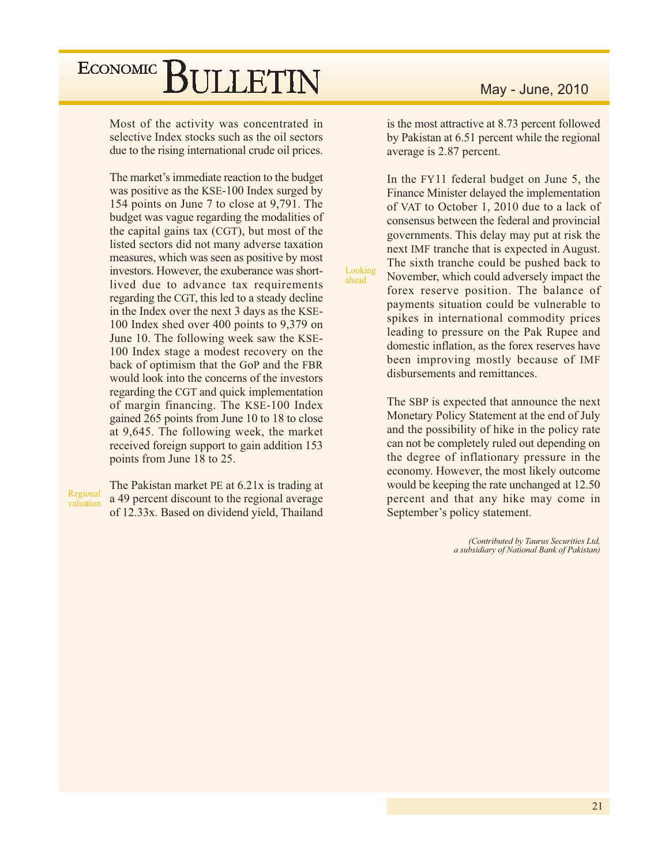Most of the activity was concentrated in selective Index stocks such as the oil sectors due to the rising international crude oil prices.

The market's immediate reaction to the budget was positive as the KSE-100 Index surged by 154 points on June 7 to close at 9,791. The budget was vague regarding the modalities of the capital gains tax (CGT), but most of the listed sectors did not many adverse taxation measures, which was seen as positive by most investors. However, the exuberance was shortlived due to advance tax requirements regarding the CGT, this led to a steady decline in the Index over the next 3 days as the KSE-100 Index shed over 400 points to 9,379 on June 10. The following week saw the KSE-100 Index stage a modest recovery on the back of optimism that the GoP and the FBR would look into the concerns of the investors regarding the CGT and quick implementation of margin financing. The KSE-100 Index gained 265 points from June 10 to 18 to close at 9,645. The following week, the market received foreign support to gain addition 153 points from June 18 to 25.

Regional valuation The Pakistan market PE at 6.21x is trading at a 49 percent discount to the regional average of 12.33x. Based on dividend yield, Thailand

is the most attractive at 8.73 percent followed by Pakistan at 6.51 percent while the regional average is 2.87 percent.

In the FY11 federal budget on June 5, the Finance Minister delayed the implementation of VAT to October 1, 2010 due to a lack of consensus between the federal and provincial governments. This delay may put at risk the next IMF tranche that is expected in August. The sixth tranche could be pushed back to November, which could adversely impact the forex reserve position. The balance of payments situation could be vulnerable to spikes in international commodity prices leading to pressure on the Pak Rupee and domestic inflation, as the forex reserves have been improving mostly because of IMF disbursements and remittances.

Looking

ahead

The SBP is expected that announce the next Monetary Policy Statement at the end of July and the possibility of hike in the policy rate can not be completely ruled out depending on the degree of inflationary pressure in the economy. However, the most likely outcome would be keeping the rate unchanged at 12.50 percent and that any hike may come in September's policy statement.

> (Contributed by Taurus Securities Ltd, a subsidiary of National Bank of Pakistan)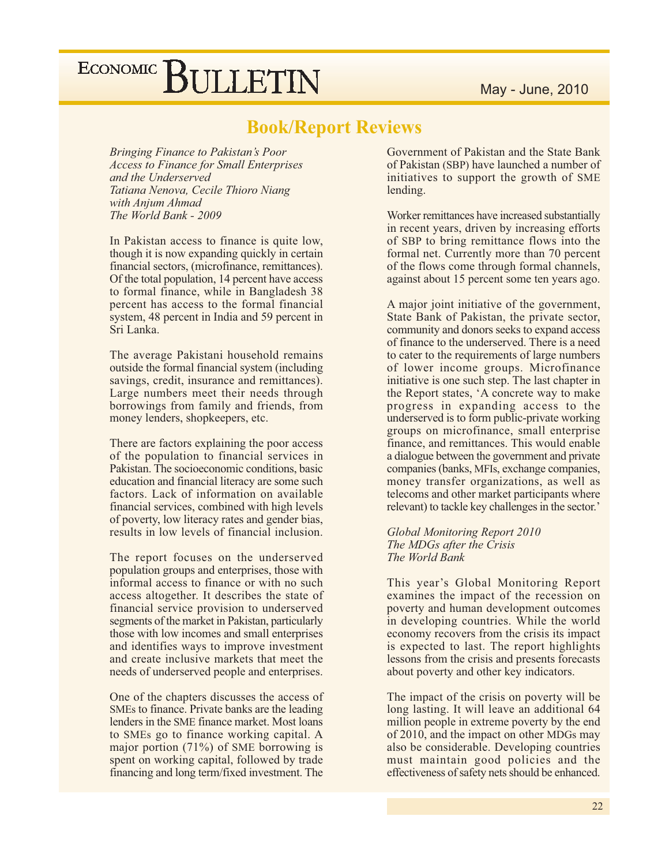## **Book/Report Reviews**

**Bringing Finance to Pakistan's Poor Access to Finance for Small Enterprises** and the Underserved Tatiana Nenova, Cecile Thioro Niang with Anjum Ahmad The World Bank - 2009

In Pakistan access to finance is quite low, though it is now expanding quickly in certain financial sectors, (microfinance, remittances). Of the total population, 14 percent have access to formal finance, while in Bangladesh 38 percent has access to the formal financial system, 48 percent in India and 59 percent in Sri Lanka.

The average Pakistani household remains outside the formal financial system (including savings, credit, insurance and remittances). Large numbers meet their needs through borrowings from family and friends, from money lenders, shopkeepers, etc.

There are factors explaining the poor access of the population to financial services in Pakistan. The socioeconomic conditions, basic education and financial literacy are some such factors. Lack of information on available financial services, combined with high levels of poverty, low literacy rates and gender bias, results in low levels of financial inclusion.

The report focuses on the underserved population groups and enterprises, those with informal access to finance or with no such access altogether. It describes the state of financial service provision to underserved segments of the market in Pakistan, particularly those with low incomes and small enterprises and identifies ways to improve investment and create inclusive markets that meet the needs of underserved people and enterprises.

One of the chapters discusses the access of SMEs to finance. Private banks are the leading lenders in the SME finance market. Most loans to SMEs go to finance working capital. A major portion  $(71\%)$  of SME borrowing is spent on working capital, followed by trade financing and long term/fixed investment. The

Government of Pakistan and the State Bank of Pakistan (SBP) have launched a number of initiatives to support the growth of SME lending.

Worker remittances have increased substantially in recent years, driven by increasing efforts of SBP to bring remittance flows into the formal net. Currently more than 70 percent of the flows come through formal channels, against about 15 percent some ten years ago.

A major joint initiative of the government, State Bank of Pakistan, the private sector, community and donors seeks to expand access of finance to the underserved. There is a need to cater to the requirements of large numbers of lower income groups. Microfinance initiative is one such step. The last chapter in the Report states, 'A concrete way to make progress in expanding access to the underserved is to form public-private working groups on microfinance, small enterprise finance, and remittances. This would enable a dialogue between the government and private companies (banks, MFIs, exchange companies, money transfer organizations, as well as telecoms and other market participants where relevant) to tackle key challenges in the sector.'

### Global Monitoring Report 2010 The MDGs after the Crisis The World Bank

This year's Global Monitoring Report examines the impact of the recession on poverty and human development outcomes in developing countries. While the world economy recovers from the crisis its impact is expected to last. The report highlights lessons from the crisis and presents forecasts about poverty and other key indicators.

The impact of the crisis on poverty will be long lasting. It will leave an additional 64 million people in extreme poverty by the end of 2010, and the impact on other MDGs may also be considerable. Developing countries must maintain good policies and the effectiveness of safety nets should be enhanced.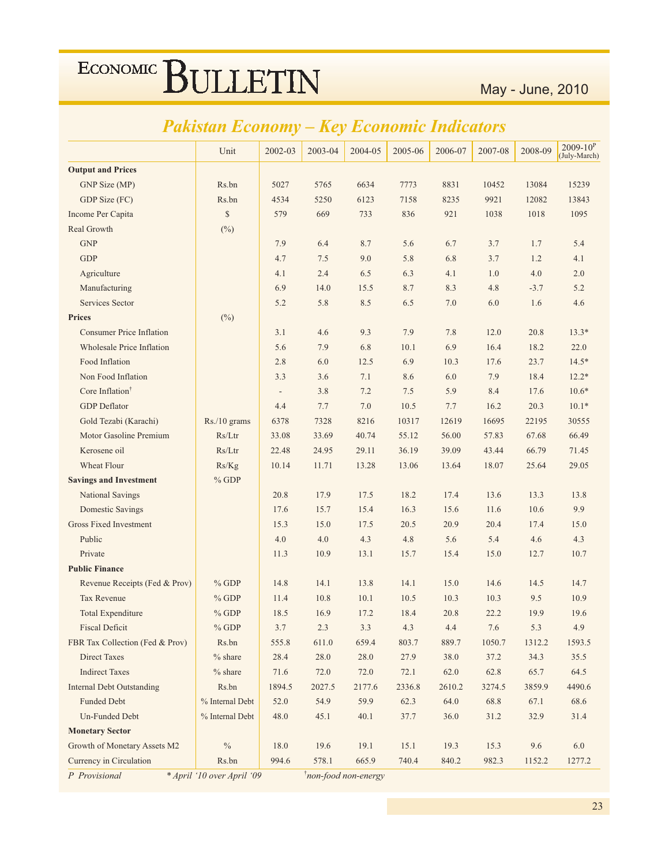## Pakistan Economy - Key Economic Indicators

|                                  | Unit            | 2002-03                  | 2003-04 | 2004-05 | 2005-06 | 2006-07 | 2007-08 | 2008-09 | $2009 - 10^{P}$<br>(July-March) |
|----------------------------------|-----------------|--------------------------|---------|---------|---------|---------|---------|---------|---------------------------------|
| <b>Output and Prices</b>         |                 |                          |         |         |         |         |         |         |                                 |
| GNP Size (MP)                    | Rs.bn           | 5027                     | 5765    | 6634    | 7773    | 8831    | 10452   | 13084   | 15239                           |
| GDP Size (FC)                    | Rs.bn           | 4534                     | 5250    | 6123    | 7158    | 8235    | 9921    | 12082   | 13843                           |
| Income Per Capita                | $\mathbb{S}$    | 579                      | 669     | 733     | 836     | 921     | 1038    | 1018    | 1095                            |
| Real Growth                      | $(^{0}_{0})$    |                          |         |         |         |         |         |         |                                 |
| <b>GNP</b>                       |                 | 7.9                      | 6.4     | 8.7     | 5.6     | 6.7     | 3.7     | 1.7     | 5.4                             |
| <b>GDP</b>                       |                 | 4.7                      | 7.5     | 9.0     | 5.8     | 6.8     | 3.7     | 1.2     | 4.1                             |
| Agriculture                      |                 | 4.1                      | 2.4     | 6.5     | 6.3     | 4.1     | 1.0     | 4.0     | 2.0                             |
| Manufacturing                    |                 | 6.9                      | 14.0    | 15.5    | 8.7     | 8.3     | 4.8     | $-3.7$  | 5.2                             |
| Services Sector                  |                 | 5.2                      | 5.8     | 8.5     | 6.5     | 7.0     | 6.0     | 1.6     | 4.6                             |
| <b>Prices</b>                    | (%)             |                          |         |         |         |         |         |         |                                 |
| <b>Consumer Price Inflation</b>  |                 | 3.1                      | 4.6     | 9.3     | 7.9     | 7.8     | 12.0    | 20.8    | $13.3*$                         |
| <b>Wholesale Price Inflation</b> |                 | 5.6                      | 7.9     | 6.8     | 10.1    | 6.9     | 16.4    | 18.2    | 22.0                            |
| Food Inflation                   |                 | 2.8                      | 6.0     | 12.5    | 6.9     | 10.3    | 17.6    | 23.7    | $14.5*$                         |
| Non Food Inflation               |                 | 3.3                      | 3.6     | 7.1     | 8.6     | 6.0     | 7.9     | 18.4    | $12.2*$                         |
| Core Inflation <sup>†</sup>      |                 | $\overline{\phantom{a}}$ | 3.8     | 7.2     | 7.5     | 5.9     | 8.4     | 17.6    | $10.6*$                         |
| <b>GDP</b> Deflator              |                 | 4.4                      | 7.7     | 7.0     | 10.5    | 7.7     | 16.2    | 20.3    | $10.1*$                         |
| Gold Tezabi (Karachi)            | Rs./10 grams    | 6378                     | 7328    | 8216    | 10317   | 12619   | 16695   | 22195   | 30555                           |
| Motor Gasoline Premium           | Rs/Ltr          | 33.08                    | 33.69   | 40.74   | 55.12   | 56.00   | 57.83   | 67.68   | 66.49                           |
| Kerosene oil                     | Rs/Ltr          | 22.48                    | 24.95   | 29.11   | 36.19   | 39.09   | 43.44   | 66.79   | 71.45                           |
| Wheat Flour                      | Rs/Kg           | 10.14                    | 11.71   | 13.28   | 13.06   | 13.64   | 18.07   | 25.64   | 29.05                           |
| <b>Savings and Investment</b>    | $%$ GDP         |                          |         |         |         |         |         |         |                                 |
| <b>National Savings</b>          |                 | 20.8                     | 17.9    | 17.5    | 18.2    | 17.4    | 13.6    | 13.3    | 13.8                            |
| <b>Domestic Savings</b>          |                 | 17.6                     | 15.7    | 15.4    | 16.3    | 15.6    | 11.6    | 10.6    | 9.9                             |
| <b>Gross Fixed Investment</b>    |                 | 15.3                     | 15.0    | 17.5    | 20.5    | 20.9    | 20.4    | 17.4    | 15.0                            |
| Public                           |                 | 4.0                      | 4.0     | 4.3     | 4.8     | 5.6     | 5.4     | 4.6     | 4.3                             |
| Private                          |                 | 11.3                     | 10.9    | 13.1    | 15.7    | 15.4    | 15.0    | 12.7    | 10.7                            |
| <b>Public Finance</b>            |                 |                          |         |         |         |         |         |         |                                 |
| Revenue Receipts (Fed & Prov)    | $%$ GDP         | 14.8                     | 14.1    | 13.8    | 14.1    | 15.0    | 14.6    | 14.5    | 14.7                            |
| <b>Tax Revenue</b>               | $%$ GDP         | 11.4                     | 10.8    | 10.1    | 10.5    | 10.3    | 10.3    | 9.5     | 10.9                            |
| <b>Total Expenditure</b>         | $%$ GDP         | 18.5                     | 16.9    | 17.2    | 18.4    | 20.8    | 22.2    | 19.9    | 19.6                            |
| <b>Fiscal Deficit</b>            | $%$ GDP         | $3.7\,$                  | 2.3     | 3.3     | 4.3     | 4.4     | 7.6     | 5.3     | 4.9                             |
| FBR Tax Collection (Fed & Prov)  | Rs.bn           | 555.8                    | 611.0   | 659.4   | 803.7   | 889.7   | 1050.7  | 1312.2  | 1593.5                          |
| Direct Taxes                     | $%$ share       | 28.4                     | 28.0    | 28.0    | 27.9    | 38.0    | 37.2    | 34.3    | 35.5                            |
| <b>Indirect Taxes</b>            | $%$ share       | 71.6                     | 72.0    | 72.0    | 72.1    | 62.0    | 62.8    | 65.7    | 64.5                            |
| <b>Internal Debt Outstanding</b> | Rs.bn           | 1894.5                   | 2027.5  | 2177.6  | 2336.8  | 2610.2  | 3274.5  | 3859.9  | 4490.6                          |
| <b>Funded Debt</b>               | % Internal Debt | 52.0                     | 54.9    | 59.9    | 62.3    | 64.0    | 68.8    | 67.1    | 68.6                            |
| Un-Funded Debt                   | % Internal Debt | 48.0                     | 45.1    | 40.1    | 37.7    | 36.0    | 31.2    | 32.9    | 31.4                            |
| <b>Monetary Sector</b>           |                 |                          |         |         |         |         |         |         |                                 |
| Growth of Monetary Assets M2     | $\%$            | 18.0                     | 19.6    | 19.1    | 15.1    | 19.3    | 15.3    | 9.6     | 6.0                             |
| Currency in Circulation          | Rs.bn           | 994.6                    | 578.1   | 665.9   | 740.4   | 840.2   | 982.3   | 1152.2  | 1277.2                          |

P Provisional

\* April '10 over April '09

*i*non-food non-energy